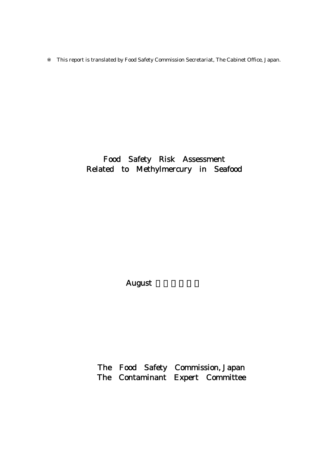This report is translated by Food Safety Commission Secretariat, The Cabinet Office, Japan.

## Food Safety Risk Assessment Related to Methylmercury in Seafood

August

The Food Safety Commission, Japan The Contaminant Expert Committee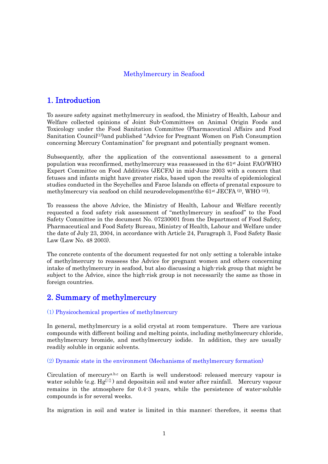### Methylmercury in Seafood

### 1. Introduction

To assure safety against methylmercury in seafood, the Ministry of Health, Labour and Welfare collected opinions of Joint Sub-Committees on Animal Origin Foods and Toxicology under the Food Sanitation Committee (Pharmaceutical Affairs and Food Sanitation Council<sup>(1)</sup>)and published "Advice for Pregnant Women on Fish Consumption concerning Mercury Contamination" for pregnant and potentially pregnant women.

Subsequently, after the application of the conventional assessment to a general population was reconfirmed, methylmercury was reassessed in the 61st Joint FAO/WHO Expert Committee on Food Additives (JECFA) in mid-June 2003 with a concern that fetuses and infants might have greater risks, based upon the results of epidemiological studies conducted in the Seychelles and Faroe Islands on effects of prenatal exposure to methylmercury via seafood on child neurodevelopment(the  $61$ <sup>st</sup> JECFA  $(2)$ , WHO  $(3)$ ).

To reassess the above Advice, the Ministry of Health, Labour and Welfare recently requested a food safety risk assessment of "methylmercury in seafood" to the Food Safety Committee in the document No. 07230001 from the Department of Food Safety, Pharmaceutical and Food Safety Bureau, Ministry of Health, Labour and Welfare under the date of July 23, 2004, in accordance with Article 24, Paragraph 3, Food Safety Basic Law (Law No. 48 2003).

The concrete contents of the document requested for not only setting a tolerable intake of methylmercury to reassess the Advice for pregnant women and others concerning intake of methylmercury in seafood, but also discussing a high-risk group that might be subject to the Advice, since the high-risk group is not necessarily the same as those in foreign countries.

### 2. Summary of methylmercury

### (1) Physicochemical properties of methylmercury

In general, methylmercury is a solid crystal at room temperature. There are various compounds with different boiling and melting points, including methylmercury chloride, methylmercury bromide, and methylmercury iodide. In addition, they are usually readily soluble in organic solvents.

(2) Dynamic state in the environment (Mechanisms of methylmercury formation)

Circulation of mercurya.b.c on Earth is well understood; released mercury vapour is water soluble (e.g.  $Hg$ ) and depositsin soil and water after rainfall. Mercury vapour remains in the atmosphere for 0.4-3 years, while the persistence of water-soluble compounds is for several weeks.

Its migration in soil and water is limited in this manner; therefore, it seems that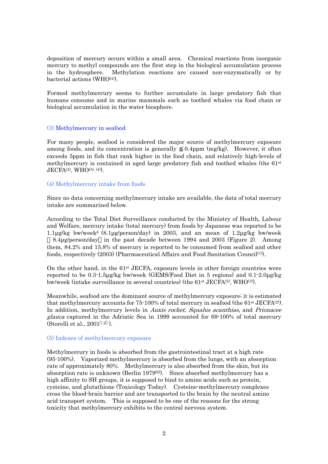deposition of mercury occurs within a small area. Chemical reactions from inorganic mercury to methyl compounds are the first step in the biological accumulation process in the hydrosphere. Methylation reactions are caused non-enzymatically or by bacterial actions (WHO<sup>(4)</sup>).

Formed methylmercury seems to further accumulate in large predatory fish that humans consume and in marine mammals such as toothed whales via food chain or biological accumulation in the water biosphere.

### (3) Methylmercury in seafood

For many people, seafood is considered the major source of methylmercury exposure among foods, and its concentration is generally 0.4ppm (mg/kg). However, it often exceeds 5ppm in fish that rank higher in the food chain, and relatively high-levels of methylmercury is contained in aged large predatory fish and toothed whales (the 61st JECFA<sup>(2)</sup>, WHO<sup>(3), (4)</sup>).

#### (4) Methylmercury intake from foods

Since no data concerning methylmercury intake are available, the data of total mercury intake are summarized below.

According to the Total Diet Surveillance conducted by the Ministry of Health, Labour and Welfare, mercury intake (total mercury) from foods by Japanese was reported to be 1.1µg/kg bw/week<sup>d</sup>  $(8.1\mu g$ /person/day) in 2003, and an mean of 1.2µg/kg bw/week

8.4µg/person/day in the past decade between 1994 and 2003 (Figure 2). Among them, 84.2% and 15.8% of mercury is reported to be consumed from seafood and other foods, respectively (2003) (Pharmaceutical Affairs and Food Sanitation Council(1)).

On the other hand, in the 61st JECFA, exposure levels in other foreign countries were reported to be 0.3-1.5µg/kg bw/week (GEMS/Food Diet in 5 regions) and 0.1-2.0µg/kg bw/week (intake surveillance in several countries) (the  $61<sup>st</sup> JECFA<sup>(2)</sup>, WHO<sup>(3)</sup>$ ).

Meanwhile, seafood are the dominant source of methylmercury exposure; it is estimated that methylmercury accounts for 75-100% of total mercury in seafood (the 61<sup>st</sup> JECFA<sup>(2)</sup>). In addition, methylmercury levels in Auxis rochet, Squalus acanthias, and Prionacee glauca captured in the Adriatic Sea in 1999 accounted for 69-100% of total mercury (Storelli et al., 2001 <sup>5</sup> ).

#### (5) Indexes of methylmercury exposure

Methylmercury in foods is absorbed from the gastrointestinal tract at a high rate (95-100%). Vaporized methylmercury is absorbed from the lungs, with an absorption rate of approximately 80%. Methylmercury is also absorbed from the skin, but its absorption rate is unknown (Berlin 1979(6)). Since absorbed methylmercury has a high affinity to SH groups, it is supposed to bind to amino acids such as protein, cysteine, and glutathione (Toxicology Today). Cysteine-methylmercury complexes cross the blood-brain barrier and are transported to the brain by the neutral amino acid transport system. This is supposed to be one of the reasons for the strong toxicity that methylmercury exhibits to the central nervous system.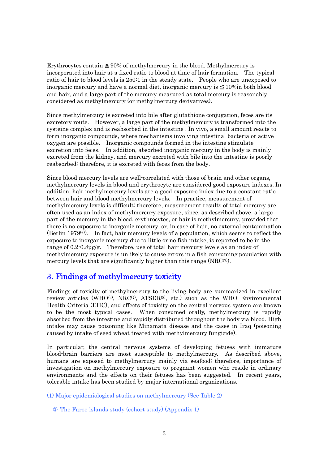Erythrocytes contain 90% of methylmercury in the blood. Methylmercury is incorporated into hair at a fixed ratio to blood at time of hair formation. The typical ratio of hair to blood levels is 250:1 in the steady state. People who are unexposed to inorganic mercury and have a normal diet, inorganic mercury is 10%in both blood and hair, and a large part of the mercury measured as total mercury is reasonably considered as methylmercury (or methylmercury derivatives).

Since methylmercury is excreted into bile after glutathione conjugation, feces are its excretory route. However, a large part of the methylmercury is transformed into the cysteine complex and is reabsorbed in the intestine . In vivo, a small amount reacts to form inorganic compounds, where mechanisms involving intestinal bacteria or active oxygen are possible. Inorganic compounds formed in the intestine stimulate excretion into feces. In addition, absorbed inorganic mercury in the body is mainly excreted from the kidney, and mercury excreted with bile into the intestine is poorly reabsorbed; therefore, it is excreted with feces from the body.

Since blood mercury levels are well-correlated with those of brain and other organs, methylmercury levels in blood and erythrocyte are considered good exposure indexes. In addition, hair methylmercury levels are a good exposure index due to a constant ratio between hair and blood methylmercury levels. In practice, measurement of methylmercury levels is difficult; therefore, measurement results of total mercury are often used as an index of methylmercury exposure, since, as described above, a large part of the mercury in the blood, erythrocytes, or hair is methylmercury, provided that there is no exposure to inorganic mercury, or, in case of hair, no external contamination (Berlin 1979 $(6)$ ). In fact, hair mercury levels of a population, which seems to reflect the exposure to inorganic mercury due to little or no fish intake, is reported to be in the range of 0.2-0.8µg/g. Therefore, use of total hair mercury levels as an index of methylmercury exposure is unlikely to cause errors in a fish-consuming population with mercury levels that are significantly higher than this range  $(NRC^{(7)})$ .

## 3. Findings of methylmercury toxicity

Findings of toxicity of methylmercury to the living body are summarized in excellent review articles (WHO<sup>(4)</sup>, NRC<sup>(7)</sup>, ATSDR<sup>(8)</sup>, etc.) such as the WHO Environmental Health Criteria (EHC), and effects of toxicity on the central nervous system are known to be the most typical cases. When consumed orally, methylmercury is rapidly absorbed from the intestine and rapidly distributed throughout the body via blood. High intake may cause poisoning like Minamata disease and the cases in Iraq (poisoning caused by intake of seed wheat treated with methylmercury fungicide).

In particular, the central nervous systems of developing fetuses with immature blood-brain barriers are most susceptible to methylmercury. As described above, humans are exposed to methylmercury mainly via seafood; therefore, importance of investigation on methylmercury exposure to pregnant women who reside in ordinary environments and the effects on their fetuses has been suggested. In recent years, tolerable intake has been studied by major international organizations.

(1) Major epidemiological studies on methylmercury (See Table 2)

The Faroe islands study (cohort study) (Appendix 1)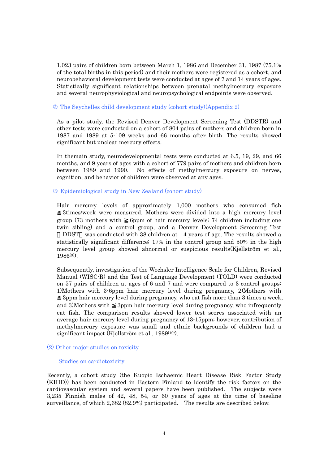1,023 pairs of children born between March 1, 1986 and December 31, 1987 (75.1% of the total births in this period) and their mothers were registered as a cohort, and neurobehavioral development tests were conducted at ages of 7 and 14 years of ages. Statistically significant relationships between prenatal methylmercury exposure and several neurophysiological and neuropsychological endpoints were observed.

#### The Seychelles child development study (cohort study)(Appendix 2)

As a pilot study, the Revised Denver Development Screening Test (DDSTR) and other tests were conducted on a cohort of 804 pairs of mothers and children born in 1987 and 1989 at 5-109 weeks and 66 months after birth. The results showed significant but unclear mercury effects.

In themain study, neurodevelopmental tests were conducted at 6.5, 19, 29, and 66 months, and 9 years of ages with a cohort of 779 pairs of mothers and children born between 1989 and 1990. No effects of methylmercury exposure on nerves, cognition, and behavior of children were observed at any ages.

#### Epidemiological study in New Zealand (cohort study)

Hair mercury levels of approximately 1,000 mothers who consumed fish 3times/week were measured. Mothers were divided into a high mercury level group (73 mothers with 6ppm of hair mercury levels; 74 children including one twin sibling) and a control group, and a Denver Development Screening Test

DDST was conducted with 38 children at 4 years of age. The results showed a statistically significant difference; 17% in the control group and 50% in the high mercury level group showed abnormal or suspicious results(Kjellström et al., 1986(9)).

Subsequently, investigation of the Wechsler Intelligence Scale for Children, Revised Manual (WISC-R) and the Test of Language Development (TOLD) were conducted on 57 pairs of children at ages of 6 and 7 and were compared to 3 control groups: 1)Mothers with 3-6ppm hair mercury level during pregnancy, 2)Mothers with

3ppm hair mercury level during pregnancy, who eat fish more than 3 times a week, and 3)Mothers with 3ppm hair mercury level during pregnancy, who infrequently eat fish. The comparison results showed lower test scores associated with an average hair mercury level during pregnancy of 13-15ppm; however, contribution of methylmercury exposure was small and ethnic backgrounds of children had a significant impact (Kjellström et al., 1989<sup>(10)</sup>).

#### (2) Other major studies on toxicity

#### Studies on cardiotoxicity

Recently, a cohort study (the Kuopio Ischaemic Heart Disease Risk Factor Study (KIHD)) has been conducted in Eastern Finland to identify the risk factors on the cardiovascular system and several papers have been published. The subjects were 3,235 Finnish males of 42, 48, 54, or 60 years of ages at the time of baseline surveillance, of which 2,682 (82.9%) participated. The results are described below.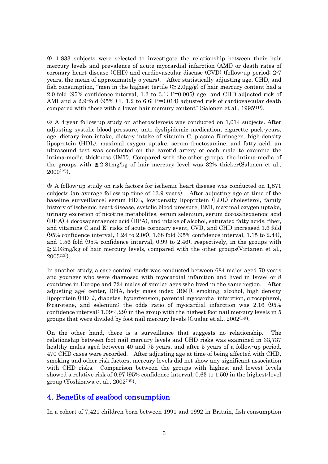1,833 subjects were selected to investigate the relationship between their hair mercury levels and prevalence of acute myocardial infarction (AMI) or death rates of coronary heart disease (CHD) and cardiovascular disease (CVD) (follow-up period: 2-7 years, the mean of approximately 5 years). After statistically adjusting age, CHD, and fish consumption, "men in the highest tertile  $(2.0\mu g/g)$  of hair mercury content had a 2.0-fold (95% confidence interval, 1.2 to 3.1; P=0.005) age- and CHD-adjusted risk of AMI and a 2.9-fold  $(95\% \text{ CI}, 1.2 \text{ to } 6.6; \text{P} = 0.014)$  adjusted risk of cardiovascular death compared with those with a lower hair mercury content" (Salonen et al., 1995(11)).

 A 4-year follow-up study on atherosclerosis was conducted on 1,014 subjects. After adjusting systolic blood pressure, anti dyslipidemic medication, cigarette pack-years, age, dietary iron intake, dietary intake of vitamin C, plasma fibrinogen, high-density lipoprotein (HDL), maximal oxygen uptake, serum fructosamine, and fatty acid, an ultrasound test was conducted on the carotid artery of each male to examine the intima-media thickness (IMT). Compared with the other groups, the intima-media of the groups with 2.81mg/kg of hair mercury level was 32% thicker(Salonen et al.,  $2000^{(12)}$ .

A follow-up study on risk factors for ischemic heart disease was conducted on 1,871 subjects (an average follow-up time of 13.9 years). After adjusting age at time of the baseline surveillance; serum HDL, low-density lipoprotein (LDL) cholesterol, family history of ischemic heart disease, systolic blood pressure, BMI, maximal oxygen uptake, urinary excretion of nicotine metabolites, serum selenium, serum docosahexaenoic acid (DHA) + docosapentaenoic acid (DPA), and intake of alcohol, saturated fatty acids, fiber, and vitamins C and E; risks of acute coronary event, CVD, and CHD increased 1.6 fold (95% confidence interval, 1.24 to 2.06), 1.68 fold (95% confidence interval, 1.15 to 2.44), and 1.56 fold (95% confidence interval, 0.99 to 2.46), respectively, in the groups with

2.03mg/kg of hair mercury levels, compared with the other groups(Virtanen et al.,  $2005^{(13)}$ .

In another study, a case-control study was conducted between 684 males aged 70 years and younger who were diagnosed with myocardial infarction and lived in Israel or 8 countries in Europe and 724 males of similar ages who lived in the same region. After adjusting age; center, DHA, body mass index (BMI), smoking, alcohol, high density lipoprotein (HDL), diabetes, hypertension, parental myocardial infarction, α-tocopherol, β-carotene, and selenium; the odds ratio of myocardial infarction was 2.16 (95% confidence interval: 1.09-4.29) in the group with the highest foot nail mercury levels in 5 groups that were divided by foot nail mercury levels (Gualar et.al.,  $2002^{(14)}$ ).

On the other hand, there is a surveillance that suggests no relationship. The relationship between foot nail mercury levels and CHD risks was examined in 33,737 healthy males aged between 40 and 75 years, and after 5 years of a follow-up period, 470 CHD cases were recorded. After adjusting age at time of being affected with CHD, smoking and other risk factors, mercury levels did not show any significant association with CHD risks. Comparison between the groups with highest and lowest levels showed a relative risk of 0.97 (95% confidence interval, 0.63 to 1.50) in the highest-level group (Yoshizawa et al.,  $2002^{(15)}$ ).

### 4. Benefits of seafood consumption

In a cohort of 7,421 children born between 1991 and 1992 in Britain, fish consumption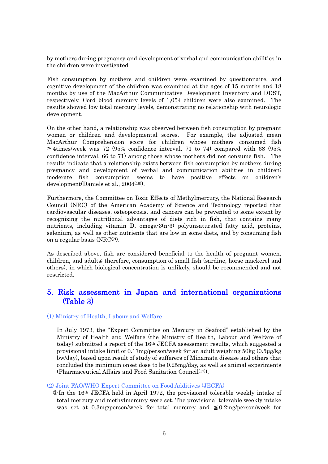by mothers during pregnancy and development of verbal and communication abilities in the children were investigated.

Fish consumption by mothers and children were examined by questionnaire, and cognitive development of the children was examined at the ages of 15 months and 18 months by use of the MacArthur Communicative Development Inventory and DDST, respectively. Cord blood mercury levels of 1,054 children were also examined. The results showed low total mercury levels, demonstrating no relationship with neurologic development.

On the other hand, a relationship was observed between fish consumption by pregnant women or children and developmental scores. For example, the adjusted mean MacArthur Comprehension score for children whose mothers consumed fish 4times/week was 72 (95% confidence interval, 71 to 74) compared with 68 (95% confidence interval, 66 to 71) among those whose mothers did not consume fish. The results indicate that a relationship exists between fish consumption by mothers during pregnancy and development of verbal and communication abilities in children; moderate fish consumption seems to have positive effects on children's development(Daniels et al., 2004(16)).

Furthermore, the Committee on Toxic Effects of Methylmercury, the National Research Council (NRC) of the American Academy of Science and Technology reported that cardiovascular diseases, osteoporosis, and cancers can be prevented to some extent by recognizing the nutritional advantages of diets rich in fish, that contains many nutrients, including vitamin D, omega-3(n-3) polyunsaturated fatty acid, proteins, selenium, as well as other nutrients that are low in some diets, and by consuming fish on a regular basis (NRC(7) ).

As described above, fish are considered beneficial to the health of pregnant women, children, and adults; therefore, consumption of small fish (sardine, horse mackerel and others), in which biological concentration is unlikely, should be recommended and not restricted.

### 5. Risk assessment in Japan and international organizations (Table 3)

### (1) Ministry of Health, Labour and Welfare

In July 1973, the "Expert Committee on Mercury in Seafood" established by the Ministry of Health and Welfare (the Ministry of Health, Labour and Welfare of today) submitted a report of the 16th JECFA assessment results, which suggested a provisional intake limit of 0.17mg/person/week for an adult weighing 50kg (0.5µg/kg bw/day), based upon result of study of sufferers of Minamata disease and others that concluded the minimum onset dose to be 0.25mg/day, as well as animal experiments (Pharmaceutical Affairs and Food Sanitation Council $(17)$ ).

#### (2) Joint FAO/WHO Expert Committee on Food Additives (JECFA)

In the 16th JECFA held in April 1972, the provisional tolerable weekly intake of total mercury and methylmercury were set. The provisional tolerable weekly intake was set at 0.3mg/person/week for total mercury and 0.2mg/person/week for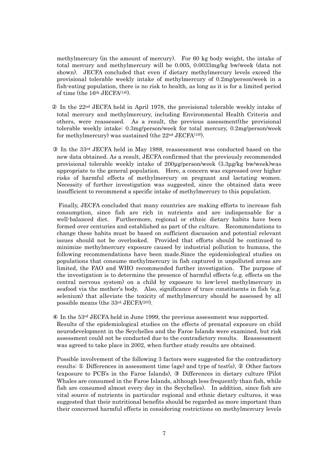methylmercury (in the amount of mercury). For 60 kg body weight, the intake of total mercury and methylmercury will be 0.005, 0.0033mg/kg bw/week (data not shown). JECFA concluded that even if dietary methylmercury levels exceed the provisional tolerable weekly intake of methylmercury of 0.2mg/person/week in a fish-eating population, there is no risk to health, as long as it is for a limited period of time (the 16<sup>th</sup> JECFA<sup>(18)</sup>).

 In the 22nd JECFA held in April 1978, the provisional tolerable weekly intake of total mercury and methylmercury, including Environmental Health Criteria and others, were reassessed. As a result, the previous assessment(the provisional tolerable weekly intake: 0.3mg/person/week for total mercury, 0.2mg/person/week for methylmercury) was sustained (the 22nd JECFA(19)).

In the  $33<sup>rd</sup>$  JECFA held in May 1988, reassessment was conducted based on the new data obtained. As a result, JECFA confirmed that the previously recommended provisional tolerable weekly intake of 200µg/person/week (3.3µg/kg bw/week)was appropriate to the general population. Here, a concern was expressed over higher risks of harmful effects of methylmercury on pregnant and lactating women. Necessity of further investigation was suggested, since the obtained data were insufficient to recommend a specific intake of methylmercury to this population.

 Finally, JECFA concluded that many countries are making efforts to increase fish consumption, since fish are rich in nutrients and are indispensable for a well-balanced diet. Furthermore, regional or ethnic dietary habits have been formed over centuries and established as part of the culture. Recommendations to change these habits must be based on sufficient discussion and potential relevant issues should not be overlooked. Provided that efforts should be continued to minimize methylmercury exposure caused by industrial pollution to humans, the following recommendations have been made.Since the epidemiological studies on populations that consume methylmercury in fish captured in unpolluted areas are limited, the FAO and WHO recommended further investigation. The purpose of the investigation is to determine the presence of harmful effects (e.g. effects on the central nervous system) on a child by exposure to low-level methylmercury in seafood via the mother's body. Also, significance of trace constituents in fish (e.g. selenium) that alleviate the toxicity of methylmercury should be assessed by all possible means (the  $33<sup>rd</sup>$  JECFA $(20)$ ).

In the  $53<sup>rd</sup>$  JECFA held in June 1999, the previous assessment was supported. Results of the epidemiological studies on the effects of prenatal exposure on child neurodevelopment in the Seychelles and the Faroe Islands were examined, but risk assessment could not be conducted due to the contradictory results. Reassessment was agreed to take place in 2002, when further study results are obtained.

Possible involvement of the following 3 factors were suggested for the contradictory results: Differences in assessment time (age) and type of test(s), Other factors (exposure to PCB's in the Faroe Islands), Differences in dietary culture (Pilot Whales are consumed in the Faroe Islands, although less frequently than fish, while fish are consumed almost every day in the Seychelles). In addition, since fish are vital source of nutrients in particular regional and ethnic dietary cultures, it was suggested that their nutritional benefits should be regarded as more important than their concerned harmful effects in considering restrictions on methylmercury levels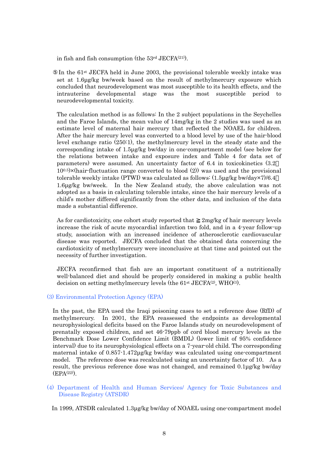in fish and fish consumption (the  $53<sup>rd</sup>$  JECFA $(21)$ ).

In the 61st JECFA held in June 2003, the provisional tolerable weekly intake was set at 1.6µg/kg bw/week based on the result of methylmercury exposure which concluded that neurodevelopment was most susceptible to its health effects, and the intrauterine developmental stage was the most susceptible period to neurodevelopmental toxicity.

The calculation method is as follows: In the 2 subject populations in the Seychelles and the Faroe Islands, the mean value of 14mg/kg in the 2 studies was used as an estimate level of maternal hair mercury that reflected the NOAEL for children. After the hair mercury level was converted to a blood level by use of the hair-blood level exchange ratio (250:1), the methylmercury level in the steady state and the corresponding intake of 1.5µg/kg bw/day in one-compartment model (see below for the relations between intake and exposure index and Table 4 for data set of parameters) were assumed. An uncertainty factor of 6.4 in toxicokinetics (3.2  $10^{0.5}$ ×(hair-fluctuation range converted to blood  $(2)$ ) was used and the provisional tolerable weekly intake (PTWI) was calculated as follows: (1.5µg/kg bw/day×7)/6.4 1.6µg/kg bw/week. In the New Zealand study, the above calculation was not adopted as a basis in calculating tolerable intake, since the hair mercury levels of a child's mother differed significantly from the other data, and inclusion of the data made a substantial difference.

As for cardiotoxicity, one cohort study reported that  $2mg/kg$  of hair mercury levels increase the risk of acute myocardial infarction two fold, and in a 4-year follow-up study, association with an increased incidence of atherosclerotic cardiovascular disease was reported. JECFA concluded that the obtained data concerning the cardiotoxicity of methylmercury were inconclusive at that time and pointed out the necessity of further investigation.

JECFA reconfirmed that fish are an important constituent of a nutritionally well-balanced diet and should be properly considered in making a public health decision on setting methylmercury levels (the 61<sup>st</sup> JECFA<sup>(2)</sup>, WHO<sup>(3)</sup>.

#### (3) Environmental Protection Agency (EPA)

In the past, the EPA used the Iraqi poisoning cases to set a reference dose (RfD) of methylmercury. In 2001, the EPA reassessed the endpoints as developmental neurophysiological deficits based on the Faroe Islands study on neurodevelopment of prenatally exposed children, and set 46-79ppb of cord blood mercury levels as the Benchmark Dose Lower Confidence Limit (BMDL) (lower limit of 95% confidence interval) due to its neurophysiological effects on a 7-year-old child. The corresponding maternal intake of 0.857-1.472µg/kg bw/day was calculated using one-compartment model. The reference dose was recalculated using an uncertainty factor of 10. As a result, the previous reference dose was not changed, and remained 0.1µg/kg bw/day (EPA(22)).

### (4) Department of Health and Human Services/ Agency for Toxic Substances and Disease Registry (ATSDR)

In 1999, ATSDR calculated 1.3µg/kg bw/day of NOAEL using one-compartment model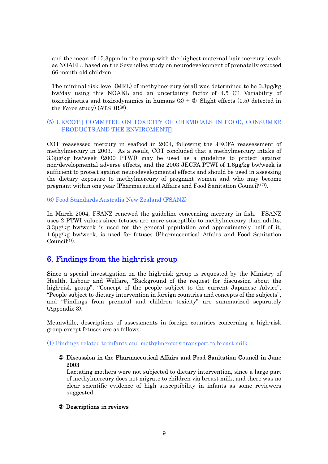and the mean of 15.3ppm in the group with the highest maternal hair mercury levels as NOAEL , based on the Seychelles study on neurodevelopment of prenatally exposed 66-month-old children.

The minimal risk level (MRL) of methylmercury (oral) was determined to be 0.3µg/kg bw/day using this NOAEL and an uncertainty factor of 4.5 ( Variability of toxicokinetics and toxicodynamics in humans  $(3)$  + Slight effects  $(1.5)$  detected in the Faroe study)  $(ATSDR^{(8)})$ .

### (5) UK/COT COMMITEE ON TOXICITY OF CHEMICALS IN FOOD, CONSUMER PRODUCTS AND THE ENVIROMENT

COT reassessed mercury in seafood in 2004, following the JECFA reassessment of methylmercury in 2003. As a result, COT concluded that a methylmercury intake of 3.3µg/kg bw/week (2000 PTWI) may be used as a guideline to protect against non-developmental adverse effects, and the 2003 JECFA PTWI of 1.6µg/kg bw/week is sufficient to protect against neurodevelopmental effects and should be used in assessing the dietary exposure to methylmercury of pregnant women and who may become pregnant within one year (Pharmaceutical Affairs and Food Sanitation Council<sup>(17)</sup>).

(6) Food Standards Australia New Zealand (FSANZ)

In March 2004, FSANZ renewed the guideline concerning mercury in fish. FSANZ uses 2 PTWI values since fetuses are more susceptible to methylmercury than adults. 3.3µg/kg bw/week is used for the general population and approximately half of it, 1.6µg/kg bw/week, is used for fetuses (Pharmaceutical Affairs and Food Sanitation  $Council<sup>(1)</sup>$ .

### 6. Findings from the high-risk group

Since a special investigation on the high-risk group is requested by the Ministry of Health, Labour and Welfare, "Background of the request for discussion about the high-risk group", "Concept of the people subject to the current Japanese Advice", "People subject to dietary intervention in foreign countries and concepts of the subjects", and "Findings from prenatal and children toxicity" are summarized separately (Appendix 3).

Meanwhile, descriptions of assessments in foreign countries concerning a high-risk group except fetuses are as follows:

(1) Findings related to infants and methylmercury transport to breast milk

### ① Discussion in the Pharmaceutical Affairs and Food Sanitation Council in June 2003

Lactating mothers were not subjected to dietary intervention, since a large part of methylmercury does not migrate to children via breast milk, and there was no clear scientific evidence of high susceptibility in infants as some reviewers suggested.

### Descriptions in reviews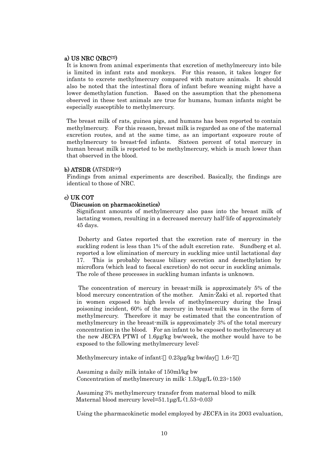### a) US NRC  $(NRC<sup>(7)</sup>)$

It is known from animal experiments that excretion of methylmercury into bile is limited in infant rats and monkeys. For this reason, it takes longer for infants to excrete methylmercury compared with mature animals. It should also be noted that the intestinal flora of infant before weaning might have a lower demethylation function. Based on the assumption that the phenomena observed in these test animals are true for humans, human infants might be especially susceptible to methylmercury.

The breast milk of rats, guinea pigs, and humans has been reported to contain methylmercury. For this reason, breast milk is regarded as one of the maternal excretion routes, and at the same time, as an important exposure route of methylmercury to breast-fed infants. Sixteen percent of total mercury in human breast milk is reported to be methylmercury, which is much lower than that observed in the blood.

#### b) ATSDR (ATSDR(8)

Findings from animal experiments are described. Basically, the findings are identical to those of NRC.

### c) UK COT

### (Discussion on pharmacokinetics)

Significant amounts of methylmercury also pass into the breast milk of lactating women, resulting in a decreased mercury half-life of approximately 45 days.

 Doherty and Gates reported that the excretion rate of mercury in the suckling rodent is less than 1% of the adult excretion rate. Sundberg et al. reported a low elimination of mercury in suckling mice until lactational day 17. This is probably because biliary secretion and demethylation by microflora (which lead to faecal excretion) do not occur in suckling animals. The role of these processes in suckling human infants is unknown.

 The concentration of mercury in breast-milk is approximately 5% of the blood mercury concentration of the mother. Amin-Zaki et al. reported that in women exposed to high levels of methylmercury during the Iraqi poisoning incident, 60% of the mercury in breast-milk was in the form of methylmercury. Therefore it may be estimated that the concentration of methylmercury in the breast-milk is approximately 3% of the total mercury concentration in the blood. For an infant to be exposed to methylmercury at the new JECFA PTWI of 1.6µg/kg bw/week, the mother would have to be exposed to the following methylmercury level:

Methylmercury intake of infant: 0.23µg/kg bw/day 1.6÷7

Assuming a daily milk intake of 150ml/kg bw Concentration of methylmercury in milk: 1.53µg/L (0.23÷150)

Assuming 3% methylmercury transfer from maternal blood to milk Maternal blood mercury level= $51.1\mu$ g/L  $(1.53\div0.03)$ 

Using the pharmacokinetic model employed by JECFA in its 2003 evaluation,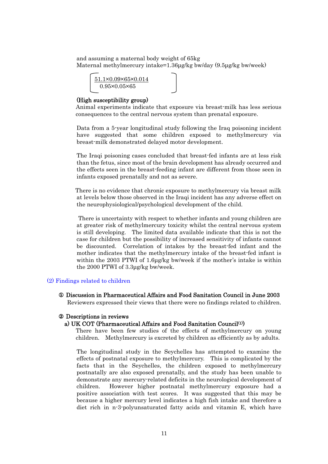and assuming a maternal body weight of 65kg Maternal methylmercury intake=1.36µg/kg bw/day (9.5µg/kg bw/week)

51.1×0.09×65×0.014 0.95×0.05×65

#### (High susceptibility group)

Animal experiments indicate that exposure via breast-milk has less serious consequences to the central nervous system than prenatal exposure.

Data from a 5-year longitudinal study following the Iraq poisoning incident have suggested that some children exposed to methylmercury via breast-milk demonstrated delayed motor development.

The Iraqi poisoning cases concluded that breast-fed infants are at less risk than the fetus, since most of the brain development has already occurred and the effects seen in the breast-feeding infant are different from those seen in infants exposed prenatally and not as severe.

There is no evidence that chronic exposure to methylmercury via breast milk at levels below those observed in the Iraqi incident has any adverse effect on the neurophysiological/psychological development of the child.

 There is uncertainty with respect to whether infants and young children are at greater risk of methylmercury toxicity whilst the central nervous system is still developing. The limited data available indicate that this is not the case for children but the possibility of increased sensitivity of infants cannot be discounted. Correlation of intakes by the breast-fed infant and the mother indicates that the methylmercury intake of the breast-fed infant is within the 2003 PTWI of 1.6µg/kg bw/week if the mother's intake is within the 2000 PTWI of 3.3µg/kg bw/week.

#### (2) Findings related to children

#### ① Discussion in Pharmaceutical Affairs and Food Sanitation Council in June 2003

Reviewers expressed their views that there were no findings related to children.

#### Descriptions in reviews

#### a) UK COT (Pharmaceutical Affairs and Food Sanitation Council(1))

There have been few studies of the effects of methylmercury on young children. Methylmercury is excreted by children as efficiently as by adults.

The longitudinal study in the Seychelles has attempted to examine the effects of postnatal exposure to methylmercury. This is complicated by the facts that in the Seychelles, the children exposed to methylmercury postnatally are also exposed prenatally, and the study has been unable to demonstrate any mercury-related deficits in the neurological development of children. However higher postnatal methylmercury exposure had a positive association with test scores. It was suggested that this may be because a higher mercury level indicates a high fish intake and therefore a diet rich in n-3-polyunsaturated fatty acids and vitamin E, which have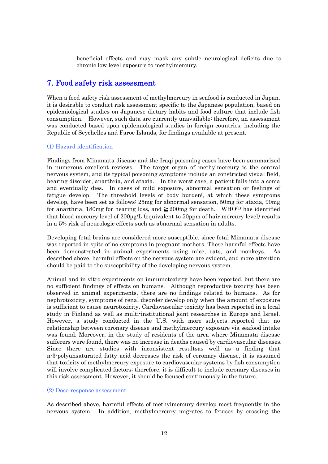beneficial effects and may mask any subtle neurological deficits due to chronic low level exposure to methylmercury.

### 7. Food safety risk assessment

When a food safety risk assessment of methylmercury in seafood is conducted in Japan, it is desirable to conduct risk assessment specific to the Japanese population, based on epidemiological studies on Japanese dietary habits and food culture that include fish consumption. However, such data are currently unavailable; therefore, an assessment was conducted based upon epidemiological studies in foreign countries, including the Republic of Seychelles and Faroe Islands, for findings available at present.

### (1) Hazard identification

Findings from Minamata disease and the Iraqi poisoning cases have been summarized in numerous excellent reviews. The target organ of methylmercury is the central nervous system, and its typical poisoning symptoms include an constricted visual field, hearing disorder, anarthria, and ataxia. In the worst case, a patient falls into a coma and eventually dies. In cases of mild exposure, abnormal sensation or feelings of fatigue develop. The threshold levels of body burdenf , at which these symptoms develop, have been set as follows: 25mg for abnormal sensation, 50mg for ataxia, 90mg for anarthria, 180mg for hearing loss, and 200mg for death. WHO<sup>(4)</sup> has identified that blood mercury level of 200µg/L (equivalent to 50ppm of hair mercury level) results in a 5% risk of neurologic effects such as abnormal sensation in adults.

Developing fetal brains are considered more susceptible, since fetal Minamata disease was reported in spite of no symptoms in pregnant mothers. These harmful effects have been demonstrated in animal experiments using mice, rats, and monkeys. As described above, harmful effects on the nervous system are evident, and more attention should be paid to the susceptibility of the developing nervous system.

Animal and in vitro experiments on immunotoxicity have been reported, but there are no sufficient findings of effects on humans. Although reproductive toxicity has been observed in animal experiments, there are no findings related to humans. As for nephrotoxicity, symptoms of renal disorder develop only when the amount of exposure is sufficient to cause neurotoxicity. Cardiovascular toxicity has been reported in a local study in Finland as well as multi-institutional joint researches in Europe and Israel. However, a study conducted in the U.S. with more subjects reported that no relationship between coronary disease and methylmercury exposure via seafood intake was found. Moreover, in the study of residents of the area where Minamata disease sufferers were found, there was no increase in deaths caused by cardiovascular diseases. Since there are studies with inconsistent resultsas well as a finding that n-3-polyunsaturated fatty acid decreases the risk of coronary disease, it is assumed that toxicity of methylmercury exposure to cardiovascular systems by fish consumption will involve complicated factors; therefore, it is difficult to include coronary diseases in this risk assessment. However, it should be focused continuously in the future.

#### (2) Dose-response assessment

As described above, harmful effects of methylmercury develop most frequently in the nervous system. In addition, methylmercury migrates to fetuses by crossing the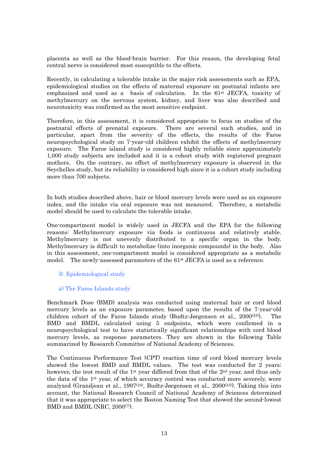placenta as well as the blood-brain barrier. For this reason, the developing fetal central nerve is considered most susceptible to the effects.

Recently, in calculating a tolerable intake in the major risk assessments such as EPA, epidemiological studies on the effects of maternal exposure on postnatal infants are emphasized and used as a basis of calculation. In the 61<sup>st</sup> JECFA, toxicity of methylmercury on the nervous system, kidney, and liver was also described and neurotoxicity was confirmed as the most sensitive endpoint.

Therefore, in this assessment, it is considered appropriate to focus on studies of the postnatal effects of prenatal exposure. There are several such studies, and in particular, apart from the severity of the effects, the results of the Faroe neuropsychological study on 7-year-old children exhibit the effects of methylmercury exposure. The Faroe island study is considered highly reliable since approximately 1,000 study subjects are included and it is a cohort study with registered pregnant mothers. On the contrary, no effect of methylmercury exposure is observed in the Seychelles study, but its reliability is considered high since it is a cohort study including more than 700 subjects.

In both studies described above, hair or blood mercury levels were used as an exposure index, and the intake via oral exposure was not measured. Therefore, a metabolic model should be used to calculate the tolerable intake.

One-compartment model is widely used in JECFA and the EPA for the following reasons: Methylmercury exposure via foods is continuous and relatively stable. Methylmercury is not unevenly distributed to a specific organ in the body. Methylmercury is difficult to metabolize (into inorganic compounds) in the body. Also in this assessment, one-compartment model is considered appropriate as a metabolic model. The newly-assessed parameters of the 61<sup>st</sup> JECFA is used as a reference.

### Epidemiological study

### a) The Faroe Islands study

Benchmark Dose (BMD) analysis was conducted using maternal hair or cord blood mercury levels as an exposure parameter, based upon the results of the 7-year-old children cohort of the Faroe Islands study (Budtz-Jørgensen et al.,  $2000^{(23)}$ ). The BMD and BMDL calculated using 5 endpoints, which were confirmed in a neuropsychological test to have statistically significant relationships with cord blood mercury levels, as response parameters. They are shown in the following Table summarized by Research Committee of National Academy of Sciences.

The Continuous Performance Test (CPT) reaction time of cord blood mercury levels showed the lowest BMD and BMDL values. The test was conducted for 2 years; however, the test result of the 1<sup>st</sup> year differed from that of the  $2<sup>nd</sup>$  year, and thus only the data of the 1st year, of which accuracy control was conducted more severely, were analyzed (Grandjean et al., 1997<sup>(24)</sup>, Budtz-Jørgensen et al., 2000<sup>(23)</sup>). Taking this into account, the National Research Council of National Academy of Sciences determined that it was appropriate to select the Boston Naming Test that showed the second-lowest BMD and BMDL (NRC, 2000<sup>(7)</sup>).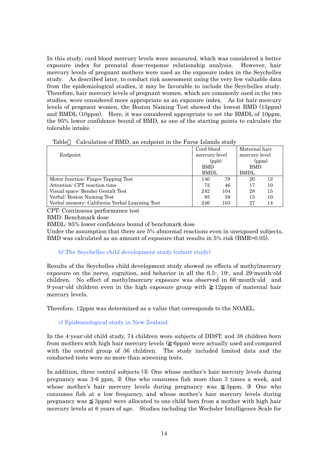In this study, cord blood mercury levels were measured, which was considered a better exposure index for prenatal dose-response relationship analysis. However, hair mercury levels of pregnant mothers were used as the exposure index in the Seychelles study. As described later, to conduct risk assessment using the very few valuable data from the epidemiological studies, it may be favorable to include the Seychelles study. Therefore, hair mercury levels of pregnant women, which are commonly used in the two studies, were considered more appropriate as an exposure index. As for hair mercury levels of pregnant women, the Boston Naming Test showed the lowest BMD (15ppm) and BMDL (10ppm). Here, it was considered appropriate to set the BMDL of 10ppm, the 95% lower confidence bound of BMD, as one of the starting points to calculate the tolerable intake.

|                                                | Cord blood    |     | Maternal hair |    |
|------------------------------------------------|---------------|-----|---------------|----|
| Endpoint                                       | mercury level |     | mercury level |    |
|                                                | (ppb)         |     | (ppm)         |    |
|                                                | <b>BMD</b>    |     | BMD           |    |
|                                                | BMDL          |     | <b>BMDL</b>   |    |
| Motor function: Finger Tapping Test            | 140           | 79  | 20            | 12 |
| Attention: CPT reaction time                   |               | 46  | 17            | 10 |
| Visual space: Bender Gestalt Test              |               | 104 | 28            | 15 |
| Verbal: Boston Naming Test                     | 85            | 58  | 15            | 10 |
| Verbal memory: California Verbal Learning Test | 246           | 103 | 27            | 14 |

Table Calculation of BMD, an endpoint in the Faroe Islands study

CPT: Continuous performance test

BMD: Benchmark dose

BMDL: 95% lower confidence bound of benchmark dose

Under the assumption that there are 5% abnormal reactions even in unexposed subjects, BMD was calculated as an amount of exposure that results in 5% risk (BMR=0.05).

### b) The Seychelles child development study (cohort study)

Results of the Seychelles child development study showed no effects of methylmercury exposure on the nerve, cognition, and behavior in all the 6.5-, 19-, and 29-month-old children. No effect of methylmercury exposure was observed in 66-month-old and 9-year-old children even in the high exposure group with 12ppm of maternal hair mercury levels.

Therefore, 12ppm was determined as a value that corresponds to the NOAEL.

### c) Epidemiological study in New Zealand

In the 4-year-old child study, 74 children were subjects of DDST, and 38 children born from mothers with high hair mercury levels ( 6ppm) were actually used and compared with the control group of 36 children. The study included limited data and the conducted tests were no more than screening tests.

In addition, three control subjects ( One whose mother's hair mercury levels during pregnancy was 3-6 ppm, One who consumes fish more than 3 times a week, and whose mother's hair mercury levels during pregnancy was 3ppm, One who consumes fish at a low frequency, and whose mother's hair mercury levels during pregnancy was 3ppm) were allocated to one child born from a mother with high hair mercury levels at 6 years of age. Studies including the Wechsler Intelligence Scale for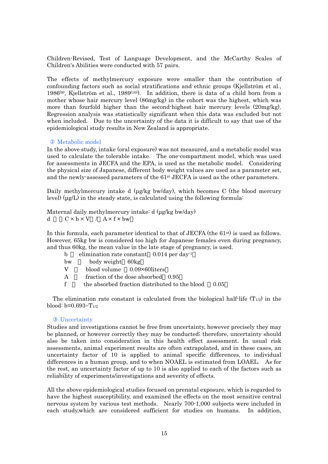Children-Revised, Test of Language Development, and the McCarthy Scales of Children's Abilities were conducted with 57 pairs.

The effects of methylmercury exposure were smaller than the contribution of confounding factors such as social stratifications and ethnic groups (Kjellström et al., 1986<sup>(9)</sup>, Kjellström et al., 1989<sup>(10)</sup>). In addition, there is data of a child born from a mother whose hair mercury level (86mg/kg) in the cohort was the highest, which was more than fourfold higher than the second-highest hair mercury levels (20mg/kg). Regression analysis was statistically significant when this data was excluded but not when included. Due to the uncertainty of the data it is difficult to say that use of the epidemiological study results in New Zealand is appropriate.

#### Metabolic model

In the above study, intake (oral exposure) was not measured, and a metabolic model was used to calculate the tolerable intake. The one-compartment model, which was used for assessments in JECFA and the EPA, is used as the metabolic model. Considering the physical size of Japanese, different body weight values are used as a parameter set, and the newly-assessed parameters of the 61st JECFA is used as the other parameters.

Daily methylmercury intake d (µg/kg bw/day), which becomes C (the blood mercury level) ( $\mu$ g/L) in the steady state, is calculated using the following formula:

Maternal daily methylmercury intake: d (µg/kg bw/day) d  $C \times b \times V$  /  $A \times f \times bw$ 

In this formula, each parameter identical to that of JECFA (the  $61<sup>st</sup>$ ) is used as follows. However, 65kg bw is considered too high for Japanese females even during pregnancy, and thus 60kg, the mean value in the late stage of pregnancy, is used.

| elimination rate constant $0.014$ per day <sup>1</sup> |  |
|--------------------------------------------------------|--|
|--------------------------------------------------------|--|

- bw = body weight 60kg
- V blood volume 0.09×60liters
- A fraction of the dose absorbed 0.95
- f the absorbed fraction distributed to the blood 0.05

The elimination rate constant is calculated from the biological half-life  $(T_{1/2})$  in the blood:  $b=0.693 \div T_{1/2}$ 

#### Uncertainty

Studies and investigations cannot be free from uncertainty, however precisely they may be planned, or however correctly they may be conducted; therefore, uncertainty should also be taken into consideration in this health effect assessment. In usual risk assessments, animal experiment results are often extrapolated, and in these cases, an uncertainty factor of 10 is applied to animal specific differences, to individual differences in a human group, and to when NOAEL is estimated from LOAEL. As for the rest, an uncertainty factor of up to 10 is also applied to each of the factors such as reliability of experiments/investigations and severity of effects.

All the above epidemiological studies focused on prenatal exposure, which is regarded to have the highest susceptibility, and examined the effects on the most sensitive central nervous system by various test methods. Nearly 700-1,000 subjects were included in each study,which are considered sufficient for studies on humans. In addition,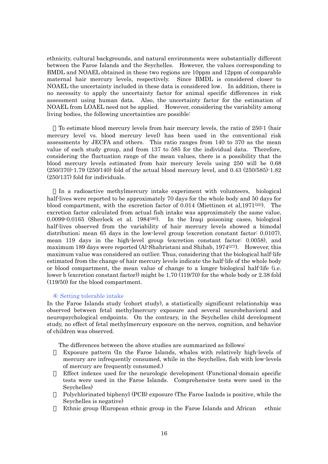ethnicity, cultural backgrounds, and natural environments were substantially different between the Faroe Islands and the Seychelles. However, the values corresponding to BMDL and NOAEL obtained in these two regions are 10ppm and 12ppm of comparable maternal hair mercury levels, respectively. Since BMDL is considered closer to NOAEL the uncertainty included in these data is considered low. In addition, there is no necessity to apply the uncertainty factor for animal specific differences in risk assessment using human data. Also, the uncertainty factor for the estimation of NOAEL from LOAEL need not be applied. However, considering the variability among living bodies, the following uncertainties are possible:

To estimate blood mercury levels from hair mercury levels, the ratio of 250:1 (hair mercury level vs. blood mercury level) has been used in the conventional risk assessments by JECFA and others. This ratio ranges from 140 to 370 as the mean value of each study group, and from 137 to 585 for the individual data. Therefore, considering the fluctuation range of the mean values, there is a possibility that the blood mercury levels estimated from hair mercury levels using 250 will be 0.68 (250/370)-1.79 (250/140) fold of the actual blood mercury level, and 0.43 (250/585)-1.82 (250/137) fold for individuals.

In a radioactive methylmercury intake experiment with volunteers, biological half-lives were reported to be approximately 70 days for the whole body and 50 days for blood compartment, with the excretion factor of 0.014 (Miettinen et al. 1971 $(25)$ ). The excretion factor calculated from actual fish intake was approximately the same value,  $0.0099\cdot0.0165$  (Sherlock et al.  $1984^{(26)}$ ). In the Iraqi poisoning cases, biological half-lives observed from the variability of hair mercury levels showed a bimodal distribution; mean 65 days in the low-level group (excretion constant factor: 0.0107), mean 119 days in the high-level group (excretion constant factor: 0.0058), and maximum 189 days were reported (Al-Shahristani and Shihab, 1974<sup>(27)</sup>). However, this maximum value was considered an outlier. Thus, considering that the biological half-life estimated from the change of hair mercury levels indicate the half-life of the whole body or blood compartment, the mean value of change to a longer biological half-life (i.e. lower b (excretion constant factor)) might be 1.70 (119/70) for the whole body or 2.38 fold (119/50) for the blood compartment.

#### Setting tolerable intake

In the Faroe Islands study (cohort study), a statistically significant relationship was observed between fetal methylmercury exposure and several neurobehavioral and neuropsychological endpoints. On the contrary, in the Seychelles child development study, no effect of fetal methylmercury exposure on the nerves, cognition, and behavior of children was observed.

The differences between the above studies are summarized as follows:

- Exposure pattern (In the Faroe Islands, whales with relatively high-levels of mercury are infrequently consumed, while in the Seychelles, fish with low-levels of mercury are frequently consumed.)
- Effect indexes used for the neurologic development (Functional-domain specific tests were used in the Faroe Islands. Comprehensive tests were used in the Seychelles)
- Polychlorinated biphenyl (PCB) exposure (The Faroe Isalnds is positive, while the Seychelles is negative)
- Ethnic group (European ethnic group in the Faroe Islands and African ethnic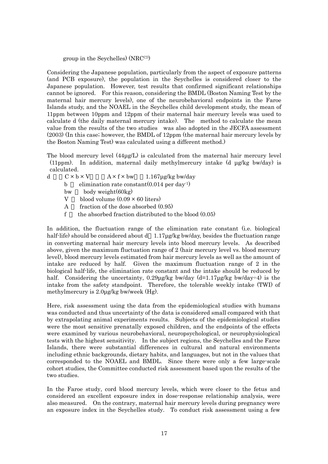group in the Seychelles)  $(NRC<sup>(7)</sup>)$ 

Considering the Japanese population, particularly from the aspect of exposure patterns (and PCB exposure), the population in the Seychelles is considered closer to the Japanese population. However, test results that confirmed significant relationships cannot be ignored. For this reason, considering the BMDL (Boston Naming Test by the maternal hair mercury levels), one of the neurobehavioral endpoints in the Faroe Islands study, and the NOAEL in the Seychelles child development study, the mean of 11ppm between 10ppm and 12ppm of their maternal hair mercury levels was used to calculate d (the daily maternal mercury intake). The method to calculate the mean value from the results of the two studies was also adopted in the JECFA assessment (2003) (In this case; however, the BMDL of 12ppm (the maternal hair mercury levels by the Boston Naming Test) was calculated using a different method.)

The blood mercury level (44µg/L) is calculated from the maternal hair mercury level (11ppm). In addition, maternal daily methylmercury intake (d µg/kg bw/day) is calculated.

- d  $C \times b \times V$   $A \times f \times bw$  1.167µg/kg bw/day
	- b elimination rate constant $(0.014$  per day<sup>-1</sup>)
	- bw body weight(60kg)
	- V blood volume  $(0.09 \times 60)$  liters)
	- A fraction of the dose absorbed (0.95)
	- f the absorbed fraction distributed to the blood  $(0.05)$

In addition, the fluctuation range of the elimination rate constant (i.e. biological half-life) should be considered about d 1.17µg/kg bw/day, besides the fluctuation range in converting maternal hair mercury levels into blood mercury levels. As described above, given the maximum fluctuation range of 2 (hair mercury level vs. blood mercury level), blood mercury levels estimated from hair mercury levels as well as the amount of intake are reduced by half. Given the maximum fluctuation range of 2 in the biological half-life, the elimination rate constant and the intake should be reduced by half. Considering the uncertainty,  $0.29\mu g/kg$  bw/day (d=1.17 $\mu$ g/kg bw/day÷4) is the intake from the safety standpoint. Therefore, the tolerable weekly intake (TWI) of methylmercury is 2.0µg/kg bw/week (Hg).

Here, risk assessment using the data from the epidemiological studies with humans was conducted and thus uncertainty of the data is considered small compared with that by extrapolating animal experiments results. Subjects of the epidemiological studies were the most sensitive prenatally exposed children, and the endpoints of the effects were examined by various neurobehavioral, neuropsychological, or neurophysiological tests with the highest sensitivity. In the subject regions, the Seychelles and the Faroe Islands, there were substantial differences in cultural and natural environments including ethnic backgrounds, dietary habits, and languages, but not in the values that corresponded to the NOAEL and BMDL. Since there were only a few large-scale cohort studies, the Committee conducted risk assessment based upon the results of the two studies.

In the Faroe study, cord blood mercury levels, which were closer to the fetus and considered an excellent exposure index in dose-response relationship analysis, were also measured. On the contrary, maternal hair mercury levels during pregnancy were an exposure index in the Seychelles study. To conduct risk assessment using a few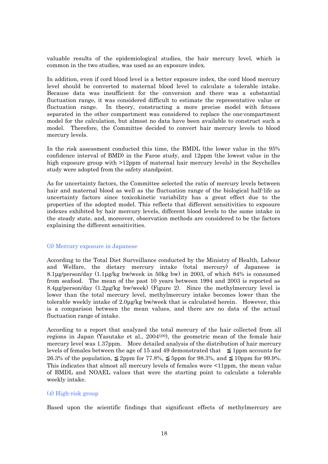valuable results of the epidemiological studies, the hair mercury level, which is common in the two studies, was used as an exposure index.

In addition, even if cord blood level is a better exposure index, the cord blood mercury level should be converted to maternal blood level to calculate a tolerable intake. Because data was insufficient for the conversion and there was a substantial fluctuation range, it was considered difficult to estimate the representative value or fluctuation range. In theory, constructing a more precise model with fetuses separated in the other compartment was considered to replace the one-compartment model for the calculation, but almost no data have been available to construct such a model. Therefore, the Committee decided to convert hair mercury levels to blood mercury levels.

In the risk assessment conducted this time, the BMDL (the lower value in the 95% confidence interval of BMD) in the Faroe study, and 12ppm (the lowest value in the high exposure group with >12ppm of maternal hair mercury levels) in the Seychelles study were adopted from the safety standpoint.

As for uncertainty factors, the Committee selected the ratio of mercury levels between hair and maternal blood as well as the fluctuation range of the biological half-life as uncertainty factors since toxicokinetic variability has a great effect due to the properties of the adopted model. This reflects that different sensitivities to exposure indexes exhibited by hair mercury levels, different blood levels to the same intake in the steady state, and, moreover, observation methods are considered to be the factors explaining the different sensitivities.

#### (3) Mercury exposure in Japanese

According to the Total Diet Surveillance conducted by the Ministry of Health, Labour and Welfare, the dietary mercury intake (total mercury) of Japanese is 8.1µg/person/day (1.1µg/kg bw/week in 50kg bw) in 2003, of which 84% is consumed from seafood. The mean of the past 10 years between 1994 and 2003 is reported as 8.4 $\mu$ g/person/day (1.2 $\mu$ g/kg bw/week) (Figure 2). Since the methylmercury level is lower than the total mercury level, methylmercury intake becomes lower than the tolerable weekly intake of 2.0µg/kg bw/week that is calculated herein. However, this is a comparison between the mean values, and there are no data of the actual fluctuation range of intake.

According to a report that analyzed the total mercury of the hair collected from all regions in Japan (Yasutake et al.,  $2004^{(28)}$ ), the geometric mean of the female hair mercury level was 1.37ppm. More detailed analysis of the distribution of hair mercury levels of females between the age of 15 and 49 demonstrated that 1ppm accounts for 26.3% of the population, 2ppm for 77.8%, 5ppm for 98.3%, and 10ppm for 99.9%. This indicates that almost all mercury levels of females were <11ppm, the mean value of BMDL and NOAEL values that were the starting point to calculate a tolerable weekly intake.

### (4) High-risk group

Based upon the scientific findings that significant effects of methylmercury are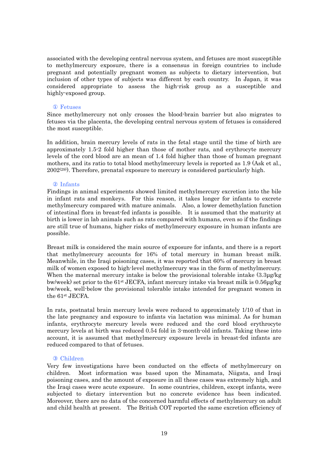associated with the developing central nervous system, and fetuses are most susceptible to methylmercury exposure, there is a consensus in foreign countries to include pregnant and potentially pregnant women as subjects to dietary intervention, but inclusion of other types of subjects was different by each country. In Japan, it was considered appropriate to assess the high-risk group as a susceptible and highly-exposed group.

### Fetuses

Since methylmercury not only crosses the blood-brain barrier but also migrates to fetuses via the placenta, the developing central nervous system of fetuses is considered the most susceptible.

In addition, brain mercury levels of rats in the fetal stage until the time of birth are approximately 1.5-2 fold higher than those of mother rats, and erythrocyte mercury levels of the cord blood are an mean of 1.4 fold higher than those of human pregnant mothers, and its ratio to total blood methylmercury levels is reported as 1.9 (Ask et al.,  $2002^{(29)}$ . Therefore, prenatal exposure to mercury is considered particularly high.

#### Infants

Findings in animal experiments showed limited methylmercury excretion into the bile in infant rats and monkeys. For this reason, it takes longer for infants to excrete methylmercury compared with mature animals. Also, a lower demethylation function of intestinal flora in breast-fed infants is possible. It is assumed that the maturity at birth is lower in lab animals such as rats compared with humans, even so if the findings are still true of humans, higher risks of methylmercury exposure in human infants are possible.

Breast milk is considered the main source of exposure for infants, and there is a report that methylmercury accounts for 16% of total mercury in human breast milk. Meanwhile, in the Iraqi poisoning cases, it was reported that 60% of mercury in breast milk of women exposed to high-level methylmercury was in the form of methylmercury. When the maternal mercury intake is below the provisional tolerable intake  $(3.3\mu g/g)$ bw/week) set prior to the 61st JECFA, infant mercury intake via breast milk is 0.56µg/kg bw/week, well-below the provisional tolerable intake intended for pregnant women in the 61st JECFA.

In rats, postnatal brain mercury levels were reduced to approximately 1/10 of that in the late pregnancy and exposure to infants via lactation was minimal. As for human infants, erythrocyte mercury levels were reduced and the cord blood erythrocyte mercury levels at birth was reduced 0.54 fold in 3-month-old infants. Taking these into account, it is assumed that methylmercury exposure levels in breast-fed infants are reduced compared to that of fetuses.

#### Children

Very few investigations have been conducted on the effects of methylmercury on children. Most information was based upon the Minamata, Niigata, and Iraqi poisoning cases, and the amount of exposure in all these cases was extremely high, and the Iraqi cases were acute exposure. In some countries, children, except infants, were subjected to dietary intervention but no concrete evidence has been indicated. Moreover, there are no data of the concerned harmful effects of methylmercury on adult and child health at present. The British COT reported the same excretion efficiency of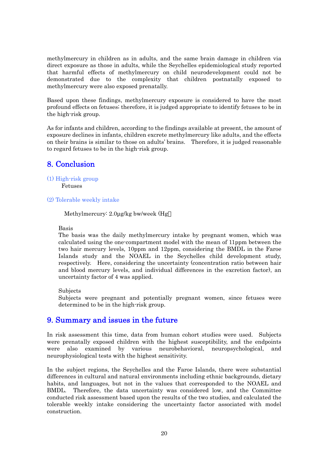methylmercury in children as in adults, and the same brain damage in children via direct exposure as those in adults, while the Seychelles epidemiological study reported that harmful effects of methylmercury on child neurodevelopment could not be demonstrated due to the complexity that children postnatally exposed to methylmercury were also exposed prenatally.

Based upon these findings, methylmercury exposure is considered to have the most profound effects on fetuses; therefore, it is judged appropriate to identify fetuses to be in the high-risk group.

As for infants and children, according to the findings available at present, the amount of exposure declines in infants, children excrete methylmercury like adults, and the effects on their brains is similar to those on adults' brains. Therefore, it is judged reasonable to regard fetuses to be in the high-risk group.

## 8. Conclusion

(1) High-risk group

Fetuses

(2) Tolerable weekly intake

Methylmercury: 2.0µg/kg bw/week (Hg

Basis

The basis was the daily methylmercury intake by pregnant women, which was calculated using the one-compartment model with the mean of 11ppm between the two hair mercury levels, 10ppm and 12ppm, considering the BMDL in the Faroe Islands study and the NOAEL in the Seychelles child development study, respectively. Here, considering the uncertainty (concentration ratio between hair and blood mercury levels, and individual differences in the excretion factor), an uncertainty factor of 4 was applied.

Subjects

Subjects were pregnant and potentially pregnant women, since fetuses were determined to be in the high-risk group.

### 9. Summary and issues in the future

In risk assessment this time, data from human cohort studies were used. Subjects were prenatally exposed children with the highest susceptibility, and the endpoints were also examined by various neurobehavioral, neuropsychological, and neurophysiological tests with the highest sensitivity.

In the subject regions, the Seychelles and the Faroe Islands, there were substantial differences in cultural and natural environments including ethnic backgrounds, dietary habits, and languages, but not in the values that corresponded to the NOAEL and BMDL. Therefore, the data uncertainty was considered low, and the Committee conducted risk assessment based upon the results of the two studies, and calculated the tolerable weekly intake considering the uncertainty factor associated with model construction.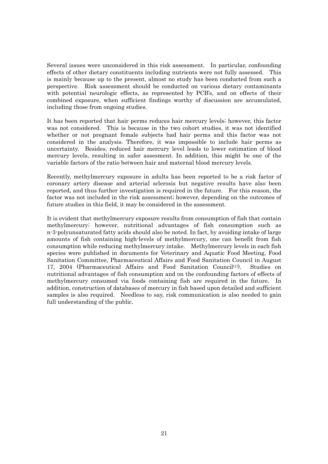Several issues were unconsidered in this risk assessment. In particular, confounding effects of other dietary constituents including nutrients were not fully assessed. This is mainly because up to the present, almost no study has been conducted from such a perspective. Risk assessment should be conducted on various dietary contaminants with potential neurologic effects, as represented by PCB's, and on effects of their combined exposure, when sufficient findings worthy of discussion are accumulated, including those from ongoing studies.

It has been reported that hair perms reduces hair mercury levels; however, this factor was not considered. This is because in the two cohort studies, it was not identified whether or not pregnant female subjects had hair perms and this factor was not considered in the analysis. Therefore, it was impossible to include hair perms as uncertainty. Besides, reduced hair mercury level leads to lower estimation of blood mercury levels, resulting in safer assesment. In addition, this might be one of the variable factors of the ratio between hair and maternal blood mercury levels.

Recently, methylmercury exposure in adults has been reported to be a risk factor of coronary artery disease and arterial sclerosis but negative results have also been reported, and thus further investigation is required in the future. For this reason, the factor was not included in the risk assessment; however, depending on the outcomes of future studies in this field, it may be considered in the assessment.

It is evident that methylmercury exposure results from consumption of fish that contain methylmercury; however, nutritional advantages of fish consumption such as n-3-polyunsaturated fatty acids should also be noted. In fact, by avoiding intake of large amounts of fish containing high-levels of methylmercury, one can benefit from fish consumption while reducing methylmercury intake. Methylmercury levels in each fish species were published in documents for Veterinary and Aquatic Food Meeting, Food Sanitation Committee, Pharmaceutical Affairs and Food Sanitation Council in August 17, 2004 (Pharmaceutical Affairs and Food Sanitation Council<sup>(1)</sup>). Studies on nutritional advantages of fish consumption and on the confounding factors of effects of methylmercury consumed via foods containing fish are required in the future. In addition, construction of databases of mercury in fish based upon detailed and sufficient samples is also required. Needless to say, risk communication is also needed to gain full understanding of the public.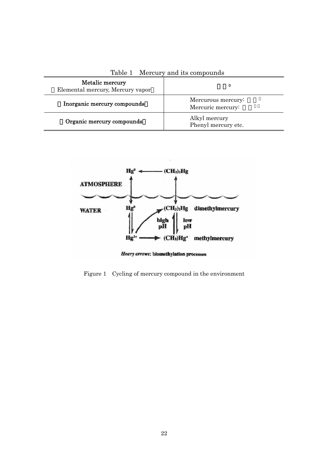|                                                     | rapic + nicreal, and no composituo      |
|-----------------------------------------------------|-----------------------------------------|
| Metalic mercury<br>Elemental mercury, Mercury vapor |                                         |
| Inorganic mercury compounds                         | Mercurous mercury:<br>Mercuric mercury: |
| Organic mercury compounds                           | Alkyl mercury<br>Phenyl mercury etc.    |

Table 1 Mercury and its compounds



Figure 1 Cycling of mercury compound in the environment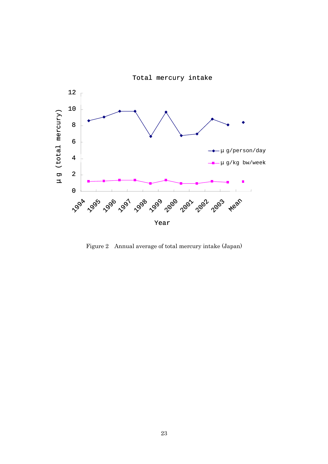

Figure 2 Annual average of total mercury intake (Japan)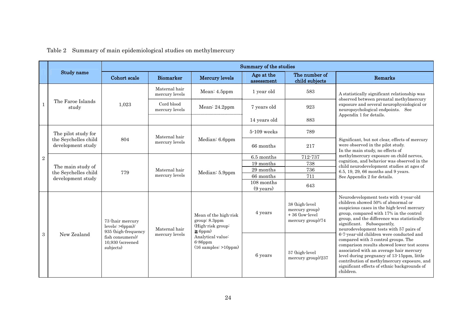|                |                                                                |                                                              | Summary of the studies          |                                                                      |                                   |                                                                           |                                                                                                                                                                                                                                                                                                                                     |  |
|----------------|----------------------------------------------------------------|--------------------------------------------------------------|---------------------------------|----------------------------------------------------------------------|-----------------------------------|---------------------------------------------------------------------------|-------------------------------------------------------------------------------------------------------------------------------------------------------------------------------------------------------------------------------------------------------------------------------------------------------------------------------------|--|
|                | Study name                                                     | Cohort scale<br><b>Biomarker</b>                             |                                 | <b>Mercury levels</b>                                                | Age at the<br>assessment          | The number of<br>child subjects                                           | Remarks                                                                                                                                                                                                                                                                                                                             |  |
|                |                                                                |                                                              | Maternal hair<br>mercury levels | Mean: $4.5$ ppm                                                      | 1 year old                        | 583                                                                       | A statistically significant relationship was<br>observed between prenatal methylmercury                                                                                                                                                                                                                                             |  |
| $\mathbf{1}$   | The Faroe Islands<br>study                                     | 1,023                                                        | Cord blood<br>mercury levels    | Mean: 24.2ppm                                                        | 7 years old                       | 923                                                                       | exposure and several neurophysiological or<br>neuropsychological endpoints. See                                                                                                                                                                                                                                                     |  |
|                |                                                                |                                                              |                                 | 14 years old                                                         |                                   | 883                                                                       | Appendix 1 for details.                                                                                                                                                                                                                                                                                                             |  |
|                | The pilot study for                                            |                                                              | Maternal hair                   |                                                                      | 5-109 weeks                       | 789                                                                       |                                                                                                                                                                                                                                                                                                                                     |  |
| $\overline{2}$ | the Seychelles child<br>development study                      | 804                                                          | mercury levels                  | Median: 6.6ppm                                                       | 66 months                         | 217                                                                       | Significant, but not clear, effects of mercury<br>were observed in the pilot study.<br>In the main study, no effects of                                                                                                                                                                                                             |  |
|                | The main study of<br>the Seychelles child<br>development study | 779                                                          | Maternal hair<br>mercury levels | Median: 5.9ppm                                                       | 6.5 months                        | 712-737                                                                   | methylmercury exposure on child nerves,                                                                                                                                                                                                                                                                                             |  |
|                |                                                                |                                                              |                                 |                                                                      | 19 months                         | 738                                                                       | cognition, and behavior was observed in the<br>child neurodevelopment studies at ages of                                                                                                                                                                                                                                            |  |
|                |                                                                |                                                              |                                 |                                                                      | 29 months                         | 736                                                                       | 6.5, 19, 29, 66 months and 9 years.                                                                                                                                                                                                                                                                                                 |  |
|                |                                                                |                                                              |                                 |                                                                      | 66 months                         | 711                                                                       | See Appendix 2 for details.                                                                                                                                                                                                                                                                                                         |  |
|                |                                                                |                                                              |                                 |                                                                      | 108 months<br>$(9 \text{ years})$ | 643                                                                       |                                                                                                                                                                                                                                                                                                                                     |  |
|                |                                                                | 73 (hair mercury<br>$levels:$ >6ppm)/<br>935 (high-frequency | Maternal hair                   | Mean of the high-risk<br>group: 8.3ppm<br>(High-risk group:<br>6ppm) | 4 years                           | 38 (high-level<br>mercury group)<br>$+36$ (low-level<br>mercury group)/74 | Neurodevelopment tests with 4-year-old<br>children showed 50% of abnormal or<br>suspicious cases in the high-level mercury<br>group, compared with 17% in the control<br>group, and the difference was statistically<br>significant. Subsequently,<br>neurodevelopment tests with 57 pairs of                                       |  |
| $\sqrt{3}$     | New Zealand<br>subjects)                                       | fish consumers)/<br>10,930 (screened                         | mercury levels                  | Analytical value:<br>$6 - 86$ ppm<br>$(16$ samples: $>10$ ppm)       | 6 years                           | 57 (high-level<br>mercury group)/237                                      | 6-7-year-old children were conducted and<br>compared with 3 control groups. The<br>comparison results showed lower test scores<br>associated with an average hair mercury<br>level during pregnancy of 13-15ppm, little<br>contribution of methylmercury exposure, and<br>significant effects of ethnic backgrounds of<br>children. |  |

Table 2 Summary of main epidemiological studies on methylmercury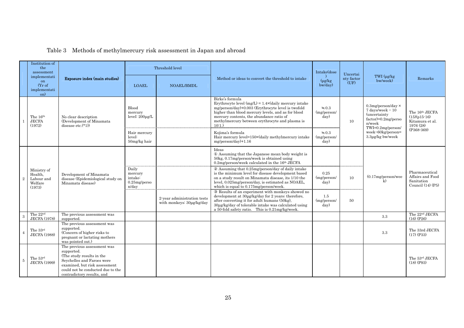|                                                           | Institution of<br>the<br>assessment                                      |                                                                                                                                                                                                          | Threshold level                                          |                                                                                                                                                                                                                                                                                                       |                                                                                                                                                                                                                                                             | Intake(dose                 | Uncertai<br>nty factor<br>(UF)                                                                                                                  | TWI (µg/kg<br>bw/week)                                           | Remarks                                                                 |
|-----------------------------------------------------------|--------------------------------------------------------------------------|----------------------------------------------------------------------------------------------------------------------------------------------------------------------------------------------------------|----------------------------------------------------------|-------------------------------------------------------------------------------------------------------------------------------------------------------------------------------------------------------------------------------------------------------------------------------------------------------|-------------------------------------------------------------------------------------------------------------------------------------------------------------------------------------------------------------------------------------------------------------|-----------------------------|-------------------------------------------------------------------------------------------------------------------------------------------------|------------------------------------------------------------------|-------------------------------------------------------------------------|
| implementati<br>on<br>(Yr of<br>implementati<br>on)       |                                                                          | Exposure index (main studies)                                                                                                                                                                            | <b>LOAEL</b>                                             | <b>NOAEL/BMDL</b>                                                                                                                                                                                                                                                                                     | Method or ideas to convert the threshold to intake                                                                                                                                                                                                          | $(\mu g/kg)$<br>$b$ w/day)  |                                                                                                                                                 |                                                                  |                                                                         |
| The 16th<br><b>JECFA</b><br>(1972)                        | No clear description<br>(Development of Minamata)<br>disease etc. $(*1)$ | Blood<br>mercury<br>level: $200\mu$ g/L                                                                                                                                                                  |                                                          | Birke's formula<br>Erythrocyte level $(mg/L) = 1.4 \times (daily mercury intake)$<br>mg/person/day)+0.003 (Erythrocyte level is twofold<br>higher than blood mercury levels, and as for blood<br>mercury contents, the abundance ratio of<br>methylmercury between erythrocyte and plasma is<br>10:1. | 0.3<br>(mg/person/<br>day)                                                                                                                                                                                                                                  | 10                          | $0.3$ mg/person/day $\times$<br>$7$ days/week $\div 10$<br><i>(uncertainty)</i><br>$factor) = 0.2mg/perso$<br>$n$ /wee $k$<br>TWI=0.2mg/person/ | The 16th JECFA<br>$(15)(p15-16)$<br>Kitamura et al.<br>1976 (28) |                                                                         |
|                                                           |                                                                          |                                                                                                                                                                                                          | Hair mercury<br>level:<br>$50mg/kg$ hair                 |                                                                                                                                                                                                                                                                                                       | Kojima's formula<br>Hair mercury level=150×(daily methylmercury intake<br>$mg/person/day)+1.16$                                                                                                                                                             | 0.3<br>(mg/person/<br>day)  |                                                                                                                                                 | $week+60kg/person=$<br>$3.3\mu$ g/kg bw/week                     | $(P368-369)$                                                            |
| Ministry of<br>Health,<br>Labour and<br>Welfare<br>(1973) |                                                                          | Development of Minamata<br>disease (Epidemiological study on<br>Minamata disease)                                                                                                                        |                                                          |                                                                                                                                                                                                                                                                                                       | Ideas<br>Assuming that the Japanese mean body weight is<br>50kg, 0.17mg/person/week is obtained using<br>$0.2$ mg/person/week calculated in the $16th$ JECFA                                                                                                |                             |                                                                                                                                                 |                                                                  | Pharmaceutical<br>Affairs and Food<br>Sanitation<br>Council $(14)$ (P5) |
|                                                           |                                                                          |                                                                                                                                                                                                          | Daily<br>mercury<br>intake:<br>$0.25$ mg/perso<br>n/day  |                                                                                                                                                                                                                                                                                                       | Assuming that 0.25mg/person/day of daily intake<br>is the minimum level for disease development based<br>on a study result on Minamata disease, its 1/10 the<br>level, 0.025mg/person/day, is estimated as NOAEL,<br>which is equal to 0.175mg/person/week. | 0.25<br>(mg/person/<br>day) | 10                                                                                                                                              | $(0.17mg/person/$ wee<br>$\mathbf{k}$                            |                                                                         |
|                                                           |                                                                          |                                                                                                                                                                                                          | 2-year administration tests<br>with monkeys: 30µg/kg/day | Results of an experiment with monkeys showed no<br>development at 30µg/kg/day for 2 years; therefore,<br>after converting it for adult humans (50kg),<br>30µg/kg/day of tolerable intake was calculated using<br>a 50-fold safety ratio. This is 0.21mg/kg/week.                                      | 1.5<br>(mg/person/<br>day)                                                                                                                                                                                                                                  | 50                          |                                                                                                                                                 |                                                                  |                                                                         |
|                                                           | The 22 <sup>nd</sup><br><b>JECFA</b> (1978)                              | The previous assessment was<br>supported.                                                                                                                                                                |                                                          |                                                                                                                                                                                                                                                                                                       |                                                                                                                                                                                                                                                             |                             |                                                                                                                                                 | 3.3                                                              | The 22 <sup>nd</sup> JECFA<br>$(16)$ $(P26)$                            |
|                                                           | The 33rd<br><b>JECFA</b> (1988)                                          | The previous assessment was<br>supported.<br>(Concern of higher risks to<br>pregnant or lactating mothers<br>was pointed out.)                                                                           |                                                          |                                                                                                                                                                                                                                                                                                       |                                                                                                                                                                                                                                                             |                             |                                                                                                                                                 | 3.3                                                              | The 33rd JECFA<br>$(17)$ (P33)                                          |
| 5                                                         | The 53rd<br><b>JECFA</b> (1999)                                          | The previous assessment was<br>supported.<br>(The study results in the<br>Seychelles and Faroes were<br>examined, but risk assessment<br>could not be conducted due to the<br>contradictory results, and |                                                          |                                                                                                                                                                                                                                                                                                       |                                                                                                                                                                                                                                                             |                             |                                                                                                                                                 |                                                                  | The 53rd JECFA<br>$(18)$ (P93)                                          |

## Table 3 Methods of methylmercury risk assessment in Japan and abroad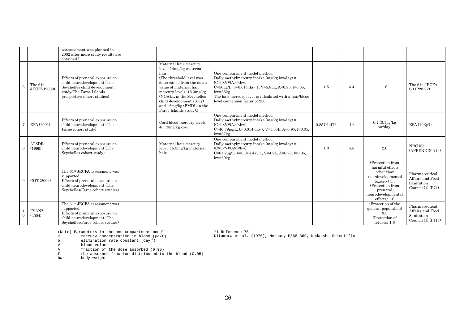|            |                                               | reassessment was planned in<br>2002 after more study results are<br>obtained.)                                                                                |                                                                                                                                                                                                                                                                                       |                                                                                                                                                                                                                                                                                                        |                 |     |                                                                                                                                                                 |                                                                           |
|------------|-----------------------------------------------|---------------------------------------------------------------------------------------------------------------------------------------------------------------|---------------------------------------------------------------------------------------------------------------------------------------------------------------------------------------------------------------------------------------------------------------------------------------|--------------------------------------------------------------------------------------------------------------------------------------------------------------------------------------------------------------------------------------------------------------------------------------------------------|-----------------|-----|-----------------------------------------------------------------------------------------------------------------------------------------------------------------|---------------------------------------------------------------------------|
| $\epsilon$ | The $61\mathrm{^{st}}$<br><b>JECFA</b> (2003) | Effects of prenatal exposure on<br>child neurodevelopment (The<br>Seychelles child development<br>study/The Faroe Islands<br>prospective cohort studies)      | Maternal hair mercury<br>level: 14mg/kg maternal<br>hair<br>(The threshold level was<br>determined from the mean<br>value of maternal hair<br>mercury levels: 15.3mg/kg<br>(NOAEL in the Seychelles<br>child development study)<br>and 12mg/kg (BMDL in the<br>Faroe Islands study).) | One-compartment model method<br>Daily methylmercury intake (mg/kg bw/day) =<br>$(C \times b \times V)/(A \times f \times b)$<br>$C = 56 \mu g/L$ , b=0.014 day-1, V=5.85L, A=0.95, f=0.05,<br>$bw = 65kg$<br>The hair mercury level is calculated with a hair/blood<br>level conversion factor of 250. | 1.5             | 6.4 | 1.6                                                                                                                                                             | The 61st JECFA<br>$(2)$ (P <sub>20</sub> -2 <sub>2</sub> )                |
|            | EPA(2001)                                     | Effects of prenatal exposure on<br>child neurodevelopment (The<br>Faroe cohort study)                                                                         | Cord blood mercury levels:<br>46-79mg/kg cord                                                                                                                                                                                                                                         | One-compartment model method<br>Daily methylmercury intake $(mg/kg)$ bw/day) =<br>$(C \times b \times V)/(A \times f \times b)$<br>$C=46-79\mu g/L$ , b=0.014 day <sup>-1</sup> , V=5.85L, A=0.95, f=0.05,<br>$bw = 67kg$                                                                              | $0.857 - 1.472$ | 10  | $0.7(0.1\mu g/kg)$<br>$b$ w/day)                                                                                                                                | EPA $(19)(p7)$                                                            |
| 8          | <b>ATSDR</b><br>(1999)                        | Effects of prenatal exposure on<br>child neurodevelopment (The<br>Seychelles cohort study)                                                                    | Maternal hair mercury<br>level: 15.3mg/kg maternal<br>hair                                                                                                                                                                                                                            | One-compartment model method<br>Daily methylmercury intake (mg/kg bw/day) =<br>$(C \times b \times V)/(A \times f \times b)$<br>$C=61.2\mu$ g/L, b=0.014 day-1, V=4.2L, A=0.95, f=0.05,<br>$bw = 60kg$                                                                                                 | 1.3             | 4.5 | 2.0                                                                                                                                                             | NRC(6)<br>(APPENDIX A14)                                                  |
|            | COT (2004)                                    | The 61 <sup>st</sup> JECFA assessment was<br>supported.<br>Effects of prenatal exposure on<br>child neurodevelopment (The<br>Seychelles/Faroe cohort studies) |                                                                                                                                                                                                                                                                                       |                                                                                                                                                                                                                                                                                                        |                 |     | (Protection from<br>harmful effects<br>other than<br>non-developmental<br>toxicity) 3.3<br>(Protection from<br>prenatal<br>neurodevelopmental<br>$effects)$ 1.6 | Pharmaceutical<br>Affairs and Food<br>Sanitation<br>Council $(1)$ $(P71)$ |
| $\Omega$   | <b>FSANZ</b><br>(2004)                        | The 61 <sup>st</sup> JECFA assessment was<br>supported.<br>Effects of prenatal exposure on<br>child neurodevelopment (The<br>Seychelles/Faroe cohort studies) |                                                                                                                                                                                                                                                                                       |                                                                                                                                                                                                                                                                                                        |                 |     | (Protection of the<br>general population)<br>3.3<br>(Protection of<br>fetuses) 1.6                                                                              | Pharmaceutical<br>Affairs and Food<br>Sanitation<br>Council (1) (P117)    |

(Note) Parameters in the one-compartment model<br>C mercury concentration in blood (µq/L) mercury concentration in blood  $(\mu g/L)$ 

\*1 Reference 75 Kitamura et al. (1976), Mercury P368-369, Kodansha Scientific

b elimination rate constant  $\frac{day^{-1}}{y}$ <br>v blood volume

blood volume

A fraction of the dose absorbed (0.95)

f the absorbed fraction distributed to the blood (0.05)

body weight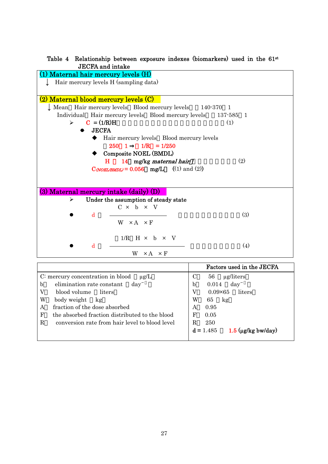### Table 4 Relationship between exposure indexes (biomarkers) used in the 61st JECFA and intake

| (1) Maternal hair mercury levels (H)                                        |  |
|-----------------------------------------------------------------------------|--|
| Hair mercury levels H (sampling data)                                       |  |
|                                                                             |  |
| (2) Maternal blood mercury levels (C)                                       |  |
| $\downarrow$ Mean Hair mercury levels Blood mercury levels 140.370 1        |  |
| Individual Hair mercury levels Blood mercury levels 137-585 1               |  |
| $C = (1/R)H$<br>(1)<br>≻                                                    |  |
| <b>JECFA</b>                                                                |  |
| Hair mercury levels Blood mercury levels                                    |  |
| $250 \quad 1 \quad 1/R = 1/250$                                             |  |
| Composite NOEL (BMDL)                                                       |  |
| (2)<br>H 14 mg/kg maternal hair                                             |  |
| $\text{C}_{\text{(\textit{NOEL/BMDL})}} = 0.056 \text{ mg/L}$ ((1) and (2)) |  |
|                                                                             |  |
|                                                                             |  |
| (3) Maternal mercury intake (daily) (D)                                     |  |
| Under the assumption of steady state<br>≻                                   |  |
| $C \times b \times V$                                                       |  |
| (3)<br>d                                                                    |  |
| $W \times A \times F$                                                       |  |
|                                                                             |  |
| $1/R$ H $\times$ b $\times$ V                                               |  |
| (4)<br>d                                                                    |  |
| $W \times A \times F$                                                       |  |

|                                                | Factors used in the JECFA           |
|------------------------------------------------|-------------------------------------|
| C: mercury concentration in blood<br>$\mu$ g/L | 56<br>ug/liters<br>C                |
| $\mathbf b$                                    | 0.014                               |
| elimination rate constant                      | day                                 |
| day                                            | b                                   |
| blood volume<br>V<br>liters                    | $0.09\times 65$<br>liters           |
| W                                              | W                                   |
| body weight                                    | 65                                  |
| kg                                             | kg                                  |
| fraction of the dose absorbed                  | 0.95                                |
| A                                              | A                                   |
| the absorbed fraction distributed to the blood | $\mathbf F$                         |
| $\mathbf{F}$                                   | 0.05                                |
| R                                              | 250                                 |
| conversion rate from hair level to blood level | R                                   |
|                                                | $1.5$ (µg/kg bw/day)<br>$d = 1.485$ |
|                                                |                                     |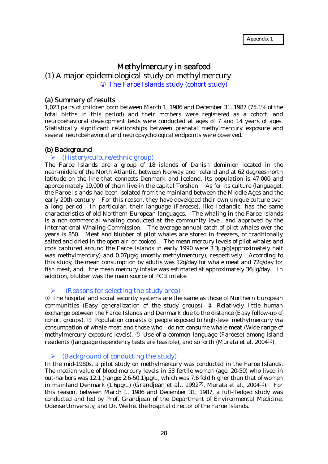### Methylmercury in seafood

(1) A major epidemiological study on methylmercury The Faroe Islands study (cohort study)

### (a) Summary of results

1,023 pairs of children born between March 1, 1986 and December 31, 1987 (75.1% of the total births in this period) and their mothers were registered as a cohort, and neurobehavioral development tests were conducted at ages of 7 and 14 years of ages. Statistically significant relationships between prenatal methylmercury exposure and several neurobehavioral and neuropsychological endpoints were observed.

### (b) Background

### $\blacktriangleright$  (History/culture/ethnic group)

The Faroe Islands are a group of 18 islands of Danish dominion located in the near-middle of the North Atlantic, between Norway and Iceland and at 62 degrees north latitude on the line that connects Denmark and Iceland. Its population is 47,000 and approximately 19,000 of them live in the capital Torshan. As for its culture (language), the Faroe Islands had been isolated from the mainland between the Middle Ages and the early 20th-century. For this reason, they have developed their own unique culture over a long period. In particular, their language (Faroese), like Icelandic, has the same characteristics of old Northern European languages. The whaling in the Faroe Islands is a non-commercial whaling conducted at the community level, and approved by the International Whaling Commission. The average annual catch of pilot whales over the years is 850. Meat and blubber of pilot whales are stored in freezers, or traditionally salted and dried in the open air, or cooked. The mean mercury levels of pilot whales and cods captured around the Faroe Islands in early 1990 were 3.3µg/g(approximately half was methylmercury) and 0.07µg/g (mostly methylmercury), respectively. According to this study, the mean consumption by adults was 12g/day for whale meat and 72g/day for fish meat, and the mean mercury intake was estimated at approximately 36µg/day. In addition, blubber was the main source of PCB intake.

### $\triangleright$  (Reasons for selecting the study area)

 The hospital and social security systems are the same as those of Northern European communities (Easy generalization of the study groups). Relatively little human exchange between the Faroe Islands and Denmark due to the distance (Easy follow-up of cohort groups). Population consists of people exposed to high-level methylmercury via consumpation of whale meat and those who do not consume whale meat (Wide range of methylmercury exposure levels). Use of a common language (Faroese) among island residents (language dependency tests are feasible), and so forth (Murata et al. 2004(1)).

### $\triangleright$  (Background of conducting the study)

In the mid-1980s, a pilot study on methylmercury was conducted in the Faroe Islands. The median value of blood mercury levels in 53 fertile women (age: 20-50) who lived in out-harbors was 12.1 (range:  $2.6-50.1$ )µg/L, which was 7.6 fold higher than that of women in mainland Denmark  $(1.6\mu g/L)$  (Grandjean et al., 1992<sup>(2)</sup>, Murata et al., 2004<sup>(1)</sup>). For this reason, between March 1, 1986 and December 31, 1987, a full-fledged study was conducted and led by Prof. Grandjean of the Department of Environmental Medicine, Odense University, and Dr. Weihe, the hospital director of the Faroe Islands.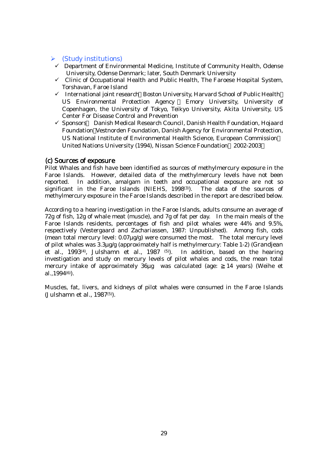### $\triangleright$  (Study institutions)

- $\checkmark$  Department of Environmental Medicine, Institute of Community Health, Odense University, Odense Denmark; later, South Denmark University
- $\checkmark$  Clinic of Occupational Health and Public Health, The Faroese Hospital System, Torshavan, Faroe Island
- $\checkmark$  International joint research Boston University, Harvard School of Public Health US Environmental Protection Agency Emory University, University of Copenhagen, the University of Tokyo, Teikyo University, Akita University, US Center For Disease Control and Prevention
- 9 Sponsors Danish Medical Research Council, Danish Health Foundation, Hojaard Foundation Vestnorden Foundation, Danish Agency for Environmental Protection, US National Institute of Environmental Health Science, European Commission United Nations University (1994), Nissan Science Foundation 2002-2003

### (c) Sources of exposure

Pilot Whales and fish have been identified as sources of methylmercury exposure in the Faroe Islands. However, detailed data of the methylmercury levels have not been reported. In addition, amalgam in teeth and occupational exposure are not so significant in the Faroe Islands (NIEHS, 1998(3). The data of the sources of methylmercury exposure in the Faroe Islands described in the report are described below.

According to a hearing investigation in the Faroe Islands, adults consume an average of 72g of fish, 12g of whale meat (muscle), and 7g of fat per day. In the main meals of the Faroe Islands residents, percentages of fish and pilot whales were 44% and 9.5%, respectively (Vestergaard and Zachariassen, 1987: Unpublished). Among fish, cods (mean total mercury level: 0.07µg/g) were consumed the most. The total mercury level of pilot whales was 3.3µg/g (approximately half is methylmercury: Table 1-2) (Grandjean et al., 1993(4), Julshamn et al., 1987 (5)). In addition, based on the hearing investigation and study on mercury levels of pilot whales and cods, the mean total mercury intake of approximately 36µg was calculated (age: 14 years) (Weihe et al.,1994(6)).

Muscles, fat, livers, and kidneys of pilot whales were consumed in the Faroe Islands (Julshamn et al., 1987(5)).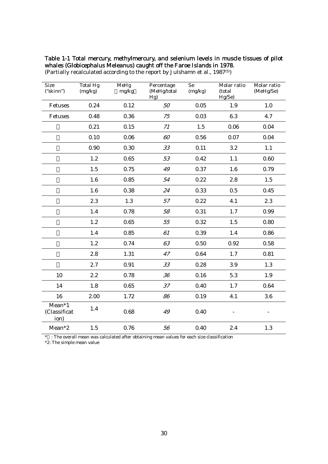### Table 1-1 Total mercury, methylmercury, and selenium levels in muscle tissues of pilot whales (Globicephalus Meleanus) caught off the Faroe Islands in 1978.

| <b>Size</b><br>("skinn")                            | <b>Total Hg</b><br>(mg/kg) | MeHg<br>mg/kg | Percentage<br>(MeHg/total<br>Hg) | Se<br>(mg/kg) | Molar ratio<br>(total<br>Hg/Se) | Molar ratio<br>(MeHg/Se) |
|-----------------------------------------------------|----------------------------|---------------|----------------------------------|---------------|---------------------------------|--------------------------|
| Fetuses                                             | 0.24                       | 0.12          | 50                               | 0.05          | 1.9                             | 1.0                      |
| Fetuses                                             | 0.48                       | 0.36          | 75                               | 0.03          | 6.3                             | 4.7                      |
|                                                     | 0.21                       | 0.15          | 71                               | 1.5           | 0.06                            | 0.04                     |
|                                                     | 0.10                       | 0.06          | 60                               | 0.56          | 0.07                            | 0.04                     |
|                                                     | 0.90                       | 0.30          | 33                               | 0.11          | 3.2                             | 1.1                      |
|                                                     | 1.2                        | 0.65          | 53                               | 0.42          | 1.1                             | 0.60                     |
|                                                     | 1.5                        | 0.75          | 49                               | 0.37          | 1.6                             | 0.79                     |
|                                                     | 1.6                        | 0.85          | 54                               | 0.22          | 2.8                             | 1.5                      |
|                                                     | 1.6                        | 0.38          | 24                               | 0.33          | 0.5                             | 0.45                     |
|                                                     | 2.3                        | 1.3           | 57                               | 0.22          | 4.1                             | 2.3                      |
|                                                     | 1.4                        | 0.78          | 58                               | 0.31          | 1.7                             | 0.99                     |
|                                                     | 1.2                        | 0.65          | 55                               | 0.32          | 1.5                             | 0.80                     |
|                                                     | 1.4                        | 0.85          | 61                               | 0.39          | 1.4                             | 0.86                     |
|                                                     | 1.2                        | 0.74          | 63                               | 0.50          | 0.92                            | 0.58                     |
|                                                     | 2.8                        | 1.31          | 47                               | 0.64          | 1.7                             | 0.81                     |
|                                                     | 2.7                        | 0.91          | 33                               | 0.28          | 3.9                             | 1.3                      |
| 10                                                  | 2.2                        | 0.78          | 36                               | 0.16          | 5.3                             | 1.9                      |
| 14                                                  | 1.8                        | 0.65          | 37                               | 0.40          | 1.7                             | 0.64                     |
| 16                                                  | 2.00                       | 1.72          | 86                               | 0.19          | 4.1                             | 3.6                      |
| $\overline{\text{Mean}}^*1$<br>(Classificat<br>ion) | 1.4                        | 0.68          | 49                               | 0.40          |                                 | $\overline{\phantom{a}}$ |
| $Mean*2$                                            | 1.5                        | 0.76          | 56                               | 0.40          | 2.4                             | 1.3                      |

(Partially recalculated according to the report by Julshamn et al., 1987(5))

 $*$  : The overall mean was calculated after obtaining mean values for each size classification

\*2: The simple mean value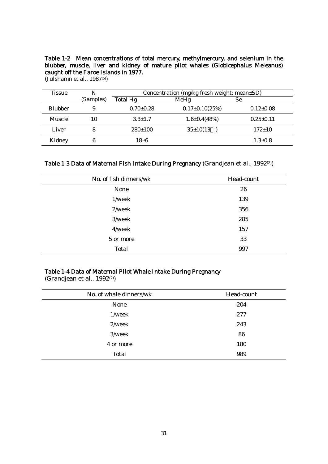### Table 1-2 Mean concentrations of total mercury, methylmercury, and selenium in the blubber, muscle, liver and kidney of mature pilot whales (Globicephalus Meleanus) caught off the Faroe Islands in 1977.

| <b>Tissue</b>  | N         |                 | Concentration (mg/kg fresh weight; mean±SD) |                 |  |  |
|----------------|-----------|-----------------|---------------------------------------------|-----------------|--|--|
|                | (Samples) | Total Hg        | MeHg                                        | <b>Se</b>       |  |  |
| <b>Blubber</b> | 9         | $0.70 \pm 0.28$ | $0.17\pm0.10(25\%)$                         | $0.12{\pm}0.08$ |  |  |
| Muscle         | 10        | $3.3 \pm 1.7$   | $1.6 \pm 0.4 (48%)$                         | $0.25 \pm 0.11$ |  |  |
| Liver          | 8         | 280±100         | $35 \pm 10(13)$                             | $172 \pm 10$    |  |  |
| Kidney         | 6         | $18\pm 6$       |                                             | $1.3 \pm 0.8$   |  |  |

| Table 1-3 Data of Maternal Fish Intake During Pregnancy (Grandjean et al., 1992(2)) |  |
|-------------------------------------------------------------------------------------|--|
|-------------------------------------------------------------------------------------|--|

| No. of fish dinners/wk | Head-count |
|------------------------|------------|
| None                   | 26         |
| 1/week                 | 139        |
| 2/week                 | 356        |
| 3/week                 | 285        |
| 4/week                 | 157        |
| 5 or more              | 33         |
| Total                  | 997        |

### Table 1-4 Data of Maternal Pilot Whale Intake During Pregnancy

(Grandjean et al., 1992<sup>(2)</sup>)

| No. of whale dinners/wk | Head-count |
|-------------------------|------------|
| None                    | 204        |
| 1/week                  | 277        |
| 2/week                  | 243        |
| 3/week                  | 86         |
| 4 or more               | 180        |
| Total                   | 989        |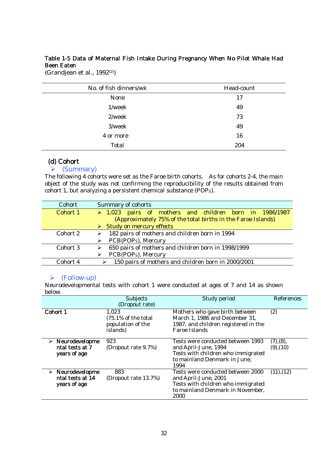### Table 1-5 Data of Maternal Fish Intake During Pregnancy When No Pilot Whale Had Been Eaten

(Grandjean et al., 1992(2))

| No. of fish dinners/wk | Head-count |
|------------------------|------------|
| None                   | 17         |
| $1$ /week              | 49         |
| 2/week                 | 73         |
| 3/week                 | 49         |
| 4 or more              | 16         |
| Total                  | 204        |

### (d) Cohort

### $\triangleright$  (Summary)

The following 4 cohorts were set as the Faroe birth cohorts. As for cohorts 2-4, the main object of the study was not confirming the reproducibility of the results obtained from cohort 1, but analyzing a persistent chemical substance (POPS).

| Cohort   | Summary of cohorts                                           |
|----------|--------------------------------------------------------------|
| Cohort 1 | $\geq 1,023$ pairs of mothers and children born in 1986/1987 |
|          | (Approximately 75% of the total births in the Faroe Islands) |
|          | $\triangleright$ Study on mercury effects                    |
| Cohort 2 | 182 pairs of mothers and children born in 1994               |
|          | PCB(POP <sub>S</sub> ), Mercury                              |
| Cohort 3 | 650 pairs of mothers and children born in 1998/1999          |
|          | PCB(POP <sub>S</sub> ), Mercury                              |
| Cohort 4 | 150 pairs of mothers and children born in 2000/2001          |
|          |                                                              |

## ¾ (Follow-up)

Neurodevelopmental tests with cohort 1 were conducted at ages of 7 and 14 as shown below.

|                                                                     | <b>Subjects</b>                                                           | Study period                                                                                                                                | References                  |
|---------------------------------------------------------------------|---------------------------------------------------------------------------|---------------------------------------------------------------------------------------------------------------------------------------------|-----------------------------|
|                                                                     | (Dropout rate)                                                            |                                                                                                                                             |                             |
| Cohort 1                                                            | 1,023<br>$(75.1\% \text{ of the total})$<br>population of the<br>islands) | Mothers who gave birth between<br>March 1, 1986 and December 31,<br>1987, and children registered in the<br>Faroe Islands                   | (2)                         |
| $\triangleright$ Neurodevelopme<br>ntal tests at 7<br>years of age  | 923<br>(Dropout rate 9.7%)                                                | Tests were conducted between 1993<br>and April-June, 1994<br>Tests with children who immigrated<br>to mainland Denmark in June,<br>1994     | (7), (8),<br>$(9)$ , $(10)$ |
| $\triangleright$ Neurodevelopme<br>ntal tests at 14<br>years of age | 883<br>(Dropout rate 13.7%)                                               | Tests were conducted between 2000<br>and April-June, 2001<br>Tests with children who immigrated<br>to mainland Denmark in November,<br>2000 | (11), (12)                  |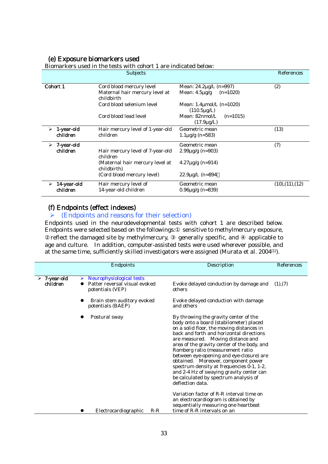# (e) Exposure biomarkers used

|                 | Divinal Refs used in the tests with conordiale indicated below. |                                                     |                  |
|-----------------|-----------------------------------------------------------------|-----------------------------------------------------|------------------|
|                 | <b>Subjects</b>                                                 |                                                     | References       |
| Cohort 1        | Cord blood mercury level                                        | Mean: 24.2µg/L (n=997)                              | (2)              |
|                 | Maternal hair mercury level at<br>childbirth                    | Mean: $4.5\mu g/g$<br>$(n=1020)$                    |                  |
|                 | Cord blood selenium level                                       | Mean: $1.4 \mu$ mol/L (n=1020)<br>$(110.5 \mu g/L)$ |                  |
|                 | Cord blood lead level                                           | Mean: 82nmol/L<br>$(n=1015)$<br>$(17.9 \mu g/L)$    |                  |
| 1-year-old<br>➤ | Hair mercury level of 1-year-old                                | Geometric mean                                      | (13)             |
| children        | children                                                        | $1.1\mu$ g/g (n=583)                                |                  |
| 7-year-old<br>≻ |                                                                 | Geometric mean                                      | (7)              |
| children        | Hair mercury level of 7-year-old<br>children                    | $2.99\mu g/g$ (n=903)                               |                  |
|                 | (Maternal hair mercury level at<br>childbirth)                  | $4.27\mu$ g/g (n=914)                               |                  |
|                 | (Cord blood mercury level)                                      | $22.9\mu$ g/L (n=894                                |                  |
| 14-year-old     | Hair mercury level of                                           | Geometric mean                                      | (10), (11), (12) |
| children        | 14-year-old children                                            | $0.96\mu$ g/g (n=839)                               |                  |

 $\frac{1}{\sqrt{2}}$  are used in the tests with celeration indicated below:

### (f) Endpoints (effect indexes)

### $\triangleright$  (Endpoints and reasons for their selection)

Endpoints used in the neurodevelopmental tests with cohort 1 are described below. Endpoints were selected based on the followings: sensitive to methylmercury exposure, reflect the damaged site by methylmercury, generally specific, and applicable to age and culture. In addition, computer-assisted tests were used wherever possible, and age and culture. In addition, computer-assisted tests were used wherever possible, and at the same time, sufficiently skilled investigators were assigned (Murata et al. 2004(1)).

|                             | Endpoints                                                                          | Description                                                                                                                                                                                                                                                                                                                                                                                                                                                                                                                                | References |
|-----------------------------|------------------------------------------------------------------------------------|--------------------------------------------------------------------------------------------------------------------------------------------------------------------------------------------------------------------------------------------------------------------------------------------------------------------------------------------------------------------------------------------------------------------------------------------------------------------------------------------------------------------------------------------|------------|
|                             |                                                                                    |                                                                                                                                                                                                                                                                                                                                                                                                                                                                                                                                            |            |
| $> 7$ -year-old<br>children | Neurophysiological tests<br>⋗<br>Patter reversal visual evoked<br>potentials (VEP) | Evoke delayed conduction by damage and<br>others                                                                                                                                                                                                                                                                                                                                                                                                                                                                                           | (1), (7)   |
|                             | Brain stem auditory evoked<br>potentials (BAEP)                                    | Evoke delayed conduction with damage<br>and others                                                                                                                                                                                                                                                                                                                                                                                                                                                                                         |            |
|                             | Postural sway                                                                      | By throwing the gravity center of the<br>body onto a board (stabilometer) placed<br>on a solid floor, the moving distances in<br>back and forth and horizontal directions<br>are measured. Moving distance and<br>area of the gravity center of the body, and<br>Romberg ratio (measurement ratio<br>between eye-opening and eye-closure) are<br>obtained. Moreover, component power<br>spectrum density at frequencies 0-1, 1-2,<br>and 2-4 Hz of swaying gravity center can<br>be calculated by spectrum analysis of<br>deflection data. |            |
|                             |                                                                                    | Variation factor of R-R interval time on<br>an electrocardiogram is obtained by<br>sequentially measuring one heartbeat                                                                                                                                                                                                                                                                                                                                                                                                                    |            |
|                             | Electrocardiographic<br>$R-R$                                                      | time of R-R intervals on an                                                                                                                                                                                                                                                                                                                                                                                                                                                                                                                |            |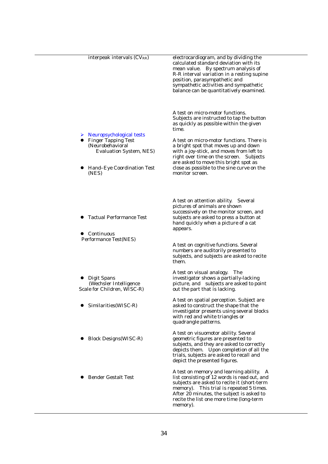| interpeak intervals (CV <sub>RR</sub> )                                                                                                                       | electrocardiogram, and by dividing the<br>calculated standard deviation with its<br>mean value. By spectrum analysis of<br>R-R interval variation in a resting supine<br>position, parasympathetic and<br>sympathetic activities and sympathetic<br>balance can be quantitatively examined.                                                                                                                             |
|---------------------------------------------------------------------------------------------------------------------------------------------------------------|-------------------------------------------------------------------------------------------------------------------------------------------------------------------------------------------------------------------------------------------------------------------------------------------------------------------------------------------------------------------------------------------------------------------------|
| $\triangleright$ Neuropsychological tests<br><b>Finger Tapping Test</b><br>(Neurobehavioral<br>Evaluation System, NES)<br>Hand-Eye Coordination Test<br>(NES) | A test on micro-motor functions.<br>Subjects are instructed to tap the button<br>as quickly as possible within the given<br>time.<br>A test on micro-motor functions. There is<br>a bright spot that moves up and down<br>with a joy-stick, and moves from left to<br>right over time on the screen. Subjects<br>are asked to move this bright spot as<br>close as possible to the sine curve on the<br>monitor screen. |
| • Tactual Performance Test<br>Continuous<br>Performance Test(NES)                                                                                             | A test on attention ability. Several<br>pictures of animals are shown<br>successively on the monitor screen, and<br>subjects are asked to press a button at<br>hand quickly when a picture of a cat<br>appears.<br>A test on cognitive functions. Several<br>numbers are auditorily presented to<br>subjects, and subjects are asked to recite<br>them.                                                                 |
| Digit Spans<br>(Wechsler Intelligence<br>Scale for Children, WISC-R)                                                                                          | A test on visual analogy. The<br>investigator shows a partially-lacking<br>picture, and subjects are asked to point<br>out the part that is lacking.                                                                                                                                                                                                                                                                    |
| Similarities(WISC-R)                                                                                                                                          | A test on spatial perception. Subject are<br>asked to construct the shape that the<br>investigator presents using several blocks<br>with red and white triangles or<br>quadrangle patterns.                                                                                                                                                                                                                             |
| <b>Block Designs (WISC-R)</b>                                                                                                                                 | A test on visuomotor ability. Several<br>geometric figures are presented to<br>subjects, and they are asked to correctly<br>depicts them. Upon completion of all the<br>trials, subjects are asked to recall and<br>depict the presented figures.                                                                                                                                                                       |
| <b>Bender Gestalt Test</b>                                                                                                                                    | A test on memory and learning ability. A<br>list consisting of 12 words is read out, and<br>subjects are asked to recite it (short-term<br>memory). This trial is repeated 5 times.<br>After 20 minutes, the subject is asked to<br>recite the list one more time (long-term<br>memory).                                                                                                                                |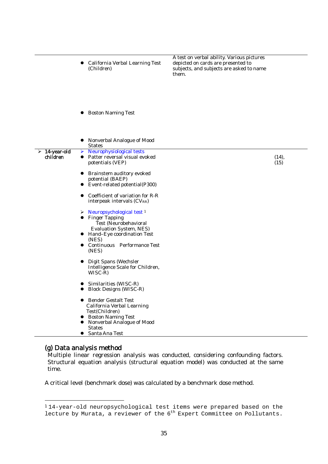|                         | California Verbal Learning Test<br>(Children)                                                                                                                                                                    | A test on verbal ability. Various pictures<br>depicted on cards are presented to<br>subjects, and subjects are asked to name<br>them. |       |
|-------------------------|------------------------------------------------------------------------------------------------------------------------------------------------------------------------------------------------------------------|---------------------------------------------------------------------------------------------------------------------------------------|-------|
|                         | <b>Boston Naming Test</b>                                                                                                                                                                                        |                                                                                                                                       |       |
| 14-year-old<br>children | Nonverbal Analogue of Mood<br><b>States</b><br>Neurophysiological tests<br>➤<br>Patter reversal visual evoked<br>$\bullet$                                                                                       |                                                                                                                                       | (14), |
|                         | potentials (VEP)<br>Brainstem auditory evoked<br>potential (BAEP)<br>• Event-related potential(P300)                                                                                                             |                                                                                                                                       | (15)  |
|                         | Coefficient of variation for R-R<br>interpeak intervals (CVRR)                                                                                                                                                   |                                                                                                                                       |       |
|                         | Neuropsychological test <sup>1</sup><br>➤<br><b>Finger Tapping</b><br>Test (Neurobehavioral<br><b>Evaluation System, NES)</b><br>• Hand-Eye coordination Test<br>(NES)<br>• Continuous Performance Test<br>(NES) |                                                                                                                                       |       |
|                         | Digit Spans (Wechsler<br>Intelligence Scale for Children,<br>WISC-R)                                                                                                                                             |                                                                                                                                       |       |
|                         | Similarities (WISC-R)<br><b>Block Designs (WISC-R)</b>                                                                                                                                                           |                                                                                                                                       |       |
|                         | Bender Gestalt Test<br>California Verbal Learning<br>Test(Children)<br><b>Boston Naming Test</b><br>$\bullet$<br>Nonverbal Analogue of Mood<br>$\bullet$<br><b>States</b><br>• Santa Ana Test                    |                                                                                                                                       |       |

### (g) Data analysis method

Multiple linear regression analysis was conducted, considering confounding factors. Structural equation analysis (structural equation model) was conducted at the same time.

A critical level (benchmark dose) was calculated by a benchmark dose method.

 <sup>1</sup> 14-year-old neuropsychological test items were prepared based on the lecture by Murata, a reviewer of the 6<sup>th</sup> Expert Committee on Pollutants.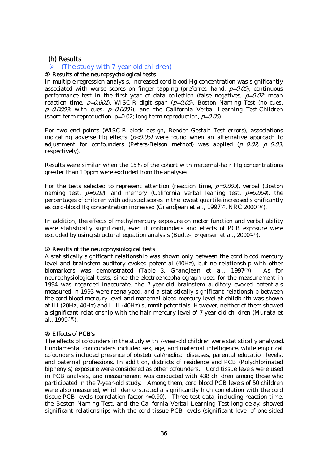### (h) Results

### $\triangleright$  (The study with 7-year-old children)

#### Results of the neuropsychological tests

In multiple regression analysis, increased cord-blood Hg concentration was significantly associated with worse scores on finger tapping (preferred hand,  $p=0.05$ ), continuous performance test in the first year of data collection (false negatives,  $p=0.02$ ; mean reaction time,  $p=0.001$ , WISC-R digit span  $(p=0.05)$ , Boston Naming Test (no cues,  $p=0.0003$ ; with cues,  $p=0.0001$ , and the California Verbal Learning Test-Children (short-term reproduction,  $p=0.02$ ; long-term reproduction,  $p=0.05$ ).

For two end points (WISC-R block design, Bender Gestalt Test errors), associations indicating adverse Hg effects ( $p<0.05$ ) were found when an alternative approach to adjustment for confounders (Peters-Belson method) was applied  $(p=0.02, p=0.03, p=0.03, p=0.03, p=0.03, p=0.03, p=0.03, p=0.03, p=0.03, p=0.03, p=0.03, p=0.03, p=0.03, p=0.03, p=0.03, p=0.03, p=0.03, p=0.03, p=0.03, p=0.03, p=0.03, p=0.03, p=0.$ respectively).

Results were similar when the 15% of the cohort with maternal-hair Hg concentrations greater than 10ppm were excluded from the analyses.

For the tests selected to represent attention (reaction time,  $p=0.003$ ), verbal (Boston naming test,  $p=0.02$ , and memory (California verbal leaning test,  $p=0.004$ ), the percentages of children with adjusted scores in the lowest quartile increased significantly as cord-blood Hg concentration increased (Grandjean et al., 1997<sup>(7)</sup>, NRC 2000<sup>(16)</sup>).

In addition, the effects of methylmercury exposure on motor function and verbal ability were statistically significant, even if confounders and effects of PCB exposure were excluded by using structural equation analysis (Budtz-Jørgensen et al.,  $2000^{(17)}$ ).

#### Results of the neurophysiological tests

A statistically significant relationship was shown only between the cord blood mercury level and brainstem auditory evoked potential (40Hz), but no relationship with other biomarkers was demonstrated (Table 3, Grandjean et al., 1997(7)). As for neurophysiological tests, since the electroencephalograph used for the measurement in 1994 was regarded inaccurate, the 7-year-old brainstem auditory evoked potentials measured in 1993 were reanalyzed, and a statistically significant relationship between the cord blood mercury level and maternal blood mercury level at childbirth was shown at III (20Hz, 40Hz) and I-III (40Hz) summit potentials. However, neither of them showed a significant relationship with the hair mercury level of 7-year-old children (Murata et al., 1999(18)).

#### ③ Effects of PCB's

The effects of cofounders in the study with 7-year-old children were statistically analyzed. Fundamental confounders included sex, age, and maternal intelligence, while empirical cofounders included presence of obstetrical/medical diseases, parental education levels, and paternal professions. In addition, districts of residence and PCB (Polychlorinated biphenyls) exposure were considered as other cofounders. Cord tissue levels were used in PCB analysis, and measurement was conducted with 438 children among those who participated in the 7-year-old study. Among them, cord blood PCB levels of 50 children were also measured, which demonstrated a significantly high correlation with the cord tissue PCB levels (correlation factor r=0.90). Three test data, including reaction time, the Boston Naming Test, and the California Verbal Learning Test-long delay, showed significant relationships with the cord tissue PCB levels (significant level of one-sided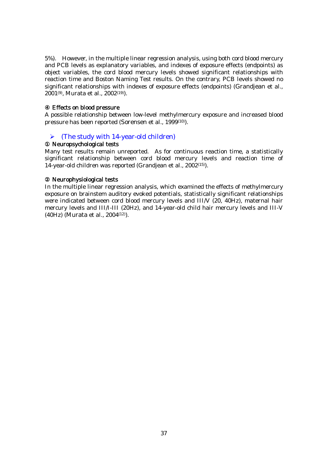5%). However, in the multiple linear regression analysis, using both cord blood mercury and PCB levels as explanatory variables, and indexes of exposure effects (endpoints) as object variables, the cord blood mercury levels showed significant relationships with reaction time and Boston Naming Test results. On the contrary, PCB levels showed no significant relationships with indexes of exposure effects (endpoints) (Grandjean et al., 2001(9), Murata et al., 2002(19)).

### Effects on blood pressure

A possible relationship between low-level methylmercury exposure and increased blood pressure has been reported (Sorensen et al., 1999(10)).

### $\triangleright$  (The study with 14-year-old children)

### Neuropsychological tests

Many test results remain unreported. As for continuous reaction time, a statistically significant relationship between cord blood mercury levels and reaction time of 14-year-old children was reported (Grandjean et al., 2002(15)).

### Neurophysiological tests

In the multiple linear regression analysis, which examined the effects of methylmercury exposure on brainstem auditory evoked potentials, statistically significant relationships were indicated between cord blood mercury levels and III/V (20, 40Hz), maternal hair mercury levels and III/I-III (20Hz), and 14-year-old child hair mercury levels and III-V (40Hz) (Murata et al., 2004(12)).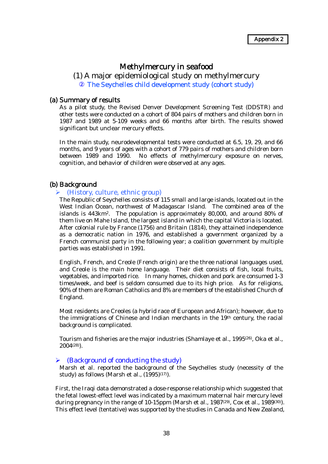### Methylmercury in seafood

### (1) A major epidemiological study on methylmercury The Seychelles child development study (cohort study)

### (a) Summary of results

As a pilot study, the Revised Denver Development Screening Test (DDSTR) and other tests were conducted on a cohort of 804 pairs of mothers and children born in 1987 and 1989 at 5-109 weeks and 66 months after birth. The results showed significant but unclear mercury effects.

In the main study, neurodevelopmental tests were conducted at 6.5, 19, 29, and 66 months, and 9 years of ages with a cohort of 779 pairs of mothers and children born between 1989 and 1990. No effects of methylmercury exposure on nerves, cognition, and behavior of children were observed at any ages.

### (b) Background

#### $\triangleright$  (History, culture, ethnic group)

The Republic of Seychelles consists of 115 small and large islands, located out in the West Indian Ocean, northwest of Madagascar Island. The combined area of the islands is 443km2. The population is approximately 80,000, and around 80% of them live on Mahe Island, the largest island in which the capital Victoria is located. After colonial rule by France (1756) and Britain (1814), they attained independence as a democratic nation in 1976, and established a government organized by a French communist party in the following year; a coalition government by multiple parties was established in 1991.

English, French, and Creole (French origin) are the three national languages used, and Creole is the main home language. Their diet consists of fish, local fruits, vegetables, and imported rice. In many homes, chicken and pork are consumed 1-3 times/week, and beef is seldom consumed due to its high price. As for religions, 90% of them are Roman Catholics and 8% are members of the established Church of England.

Most residents are Creoles (a hybrid race of European and African); however, due to the immigrations of Chinese and Indian merchants in the 19th century, the racial background is complicated.

Tourism and fisheries are the major industries (Shamlaye et al., 1995<sup>(26)</sup>, Oka et al., 2004(28)).

#### $\triangleright$  (Background of conducting the study)

Marsh et al. reported the background of the Seychelles study (necessity of the study) as follows (Marsh et al.,  $(1995)^{(17)}$ ).

First, the Iraqi data demonstrated a dose-response relationship which suggested that the fetal lowest-effect level was indicated by a maximum maternal hair mercury level during pregnancy in the range of 10-15ppm (Marsh et al.,  $1987<sup>(29)</sup>$ , Cox et al.,  $1989<sup>(30)</sup>$ ). This effect level (tentative) was supported by the studies in Canada and New Zealand,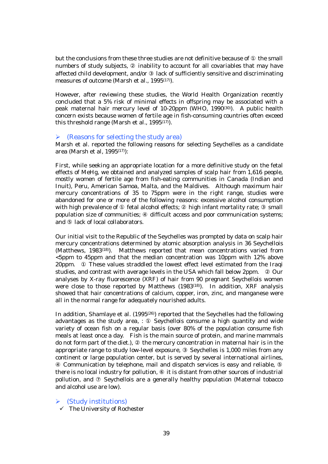but the conclusions from these three studies are not definitive because of the small numbers of study subjects, inability to account for all covariables that may have affected child development, and/or lack of sufficiently sensitive and discriminating measures of outcome (Marsh et al., 1995<sup>(17)</sup>).

However, after reviewing these studies, the World Health Organization recently concluded that a 5% risk of minimal effects in offspring may be associated with a peak maternal hair mercury level of 10-20ppm (WHO, 1990(30)). A public health concern exists because women of fertile age in fish-consuming countries often exceed this threshold range (Marsh et al., 1995<sup>(17)</sup>).

### $\triangleright$  (Reasons for selecting the study area)

Marsh et al. reported the following reasons for selecting Seychelles as a candidate area (Marsh et al. 1995 $(17)$ ):

First, while seeking an appropriate location for a more definitive study on the fetal effects of MeHg, we obtained and analyzed samples of scalp hair from 1,616 people, mostly women of fertile age from fish-eating communities in Canada (Indian and Inuit), Peru, American Samoa, Malta, and the Maldives. Although maximum hair mercury concentrations of 35 to 75ppm were in the right range, studies were abandoned for one or more of the following reasons: excessive alcohol consumption with high prevalence of fetal alcohol effects; high infant mortality rate; small population size of communities; difficult access and poor communication systems; and lack of local collaborators.

Our initial visit to the Republic of the Seychelles was prompted by data on scalp hair mercury concentrations determined by atomic absorption analysis in 36 Seychellois (Matthews, 1983<sup>(18)</sup>). Matthews reported that mean concentrations varied from <5ppm to 45ppm and that the median concentration was 10ppm with 12% above 20ppm. These values straddled the lowest effect level estimated from the Iraqi studies, and contrast with average levels in the USA which fall below 2ppm. Our analyses by X-ray fluorescence (XRF) of hair from 90 pregnant Seychellois women were close to those reported by Matthews (1983<sup>(18)</sup>). In addition, XRF analysis showed that hair concentrations of calcium, copper, iron, zinc, and manganese were all in the normal range for adequately nourished adults.

In addition, Shamlaye et al. (1995<sup>(26)</sup>) reported that the Seychelles had the following advantages as the study area, : Seychellois consume a high quantity and wide variety of ocean fish on a regular basis (over 80% of the population consume fish meals at least once a day. Fish is the main source of protein, and marine mammals do not form part of the diet.), the mercury concentration in maternal hair is in the appropriate range to study low-level exposure, Seychelles is 1,000 miles from any continent or large population center, but is served by several international airlines,

 Communication by telephone, mail and dispatch services is easy and reliable, there is no local industry for pollution, it is distant from other sources of industrial pollution, and Seychellois are a generally healthy population (Maternal tobacco and alcohol use are low).

 $\triangleright$  (Study institutions)

 $\checkmark$  The University of Rochester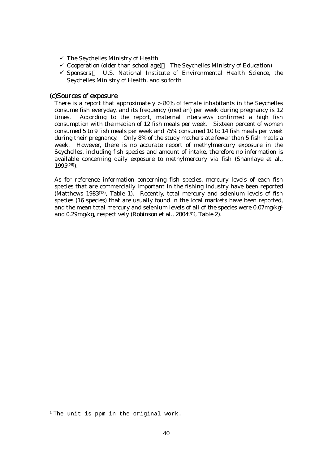- $\checkmark$  The Seychelles Ministry of Health
- $\checkmark$  Cooperation (older than school age) The Seychelles Ministry of Education)
- $\checkmark$  Sponsors U.S. National Institute of Environmental Health Science, the Seychelles Ministry of Health, and so forth

### (c)Sources of exposure

There is a report that approximately  $> 80\%$  of female inhabitants in the Seychelles consume fish everyday, and its frequency (median) per week during pregnancy is 12 times. According to the report, maternal interviews confirmed a high fish consumption with the median of 12 fish meals per week. Sixteen percent of women consumed 5 to 9 fish meals per week and 75% consumed 10 to 14 fish meals per week during their pregnancy. Only 8% of the study mothers ate fewer than 5 fish meals a week. However, there is no accurate report of methylmercury exposure in the Seychelles, including fish species and amount of intake, therefore no information is available concerning daily exposure to methylmercury via fish (Shamlaye et al., 1995(26)).

As for reference information concerning fish species, mercury levels of each fish species that are commercially important in the fishing industry have been reported (Matthews 1983<sup>(18)</sup>, Table 1). Recently, total mercury and selenium levels of fish species (16 species) that are usually found in the local markets have been reported, and the mean total mercury and selenium levels of all of the species were 0.07mg/kg1 and 0.29mg/kg, respectively (Robinson et al., 2004(31), Table 2).

<sup>&</sup>lt;sup>1</sup> The unit is ppm in the original work.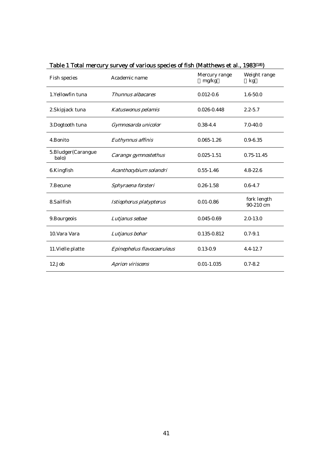|                             | Table 1 Total mercury survey or various species of fish (wiatthews et al., 1965 <sup>(20)</sup> |                        |                          |
|-----------------------------|-------------------------------------------------------------------------------------------------|------------------------|--------------------------|
| Fish species                | Academic name                                                                                   | Mercury range<br>mg/kg | Weight range<br>kg       |
| 1. Yellowfin tuna           | Thunnus albacares                                                                               | $0.012 - 0.6$          | $1.6 - 50.0$             |
| 2. Skipjack tuna            | Katuswonus pelamis                                                                              | 0.026-0.448            | $2.2 - 5.7$              |
| 3.Dogtooth tuna             | Gymnosarda unicolor                                                                             | $0.38 - 4.4$           | $7.0 - 40.0$             |
| 4.Bonito                    | Euthynnus affinis                                                                               | $0.065 - 1.26$         | $0.9 - 6.35$             |
| 5.Bludger(Carangue<br>balo) | Carangx gymnostethus                                                                            | $0.025 - 1.51$         | 0.75-11.45               |
| 6.Kingfish                  | Acanthocybium solandri                                                                          | $0.55 - 1.46$          | $4.8 - 22.6$             |
| 7.Becune                    | Sphyraena forsteri                                                                              | $0.26 - 1.58$          | $0.6 - 4.7$              |
| 8.Sailfish                  | Istiophorus platypterus                                                                         | $0.01 - 0.86$          | fork length<br>90-210 cm |
| 9. Bourgeois                | Lutjanus sebae                                                                                  | $0.045 - 0.69$         | $2.0 - 13.0$             |
| 10. Vara Vara               | Lutjanus bohar                                                                                  | 0.135-0.812            | $0.7 - 9.1$              |
| 11. Vielle platte           | Epinephelus flavocaeruleus                                                                      | $0.13 - 0.9$           | $4.4 - 12.7$             |
| $12$ .Job                   | Aprion viriscens                                                                                | $0.01 - 1.035$         | $0.7 - 8.2$              |

Table 1 Total mercury survey of various species of fish (Matthews et al., 1983(18))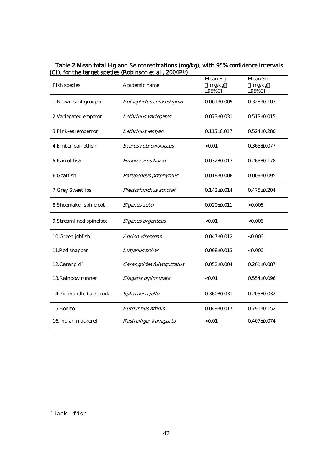| <b>Fish species</b>      | Academic name             | Mean Hg<br>mg/kg<br>$±95\%CI$ | Mean Se<br>mg/kg<br>$±95\%CI$ |
|--------------------------|---------------------------|-------------------------------|-------------------------------|
| 1. Brown spot grouper    | Epinephelus chlorostigma  | $0.061 \pm 0.009$             | $0.328 \pm 0.103$             |
| 2. Variegated emperor    | Lethrinus variegates      | $0.073 \pm 0.031$             | $0.513 \pm 0.015$             |
| 3. Pink-earemperror      | Lethrinus lentjan         | $0.115 \pm 0.017$             | $0.524 \pm 0.280$             |
| 4. Ember parrotfish      | Scarus rubroviolaceus     | < 0.01                        | $0.365 \pm 0.077$             |
| 5. Parrot fish           | Hipposcarus harid         | $0.032 \pm 0.013$             | $0.263 \pm 0.178$             |
| 6.Goatfish               | Parupeneus porphyreus     | $0.018 \pm 0.008$             | $0.009 \pm 0.095$             |
| 7. Grey Sweetlips        | Plectorhinchus schotaf    | $0.142 \pm 0.014$             | $0.475 \pm 0.204$             |
| 8. Shoemaker spinefoot   | Siganus sutor             | $0.020 \pm 0.011$             | < 0.006                       |
| 9. Streamlined spinefoot | Siganus argenteus         | < 0.01                        | < 0.006                       |
| 10. Green jobfish        | <b>Aprion virescens</b>   | $0.047 \pm 0.012$             | &0.006                        |
| 11.Red snapper           | Lutjanus bohar            | $0.098 \pm 0.013$             | &0.006                        |
| 12.Carangid <sup>2</sup> | Carangoides fulvoguttatus | $0.052 \pm 0.004$             | $0.261 \pm 0.087$             |
| 13. Rainbow runner       | Elagatis bipinnulata      | < 0.01                        | $0.554 \pm 0.096$             |
| 14. Pickhandle barracuda | Sphyraena jello           | $0.360+0.031$                 | $0.205 \pm 0.032$             |
| 15.Bonito                | Euthynnus affinis         | $0.049 \pm 0.017$             | $0.791 \pm 0.152$             |
| 16.Indian mackerel       | Rastrelliger kanagurta    | < 0.01                        | $0.407 \pm 0.074$             |

### Table 2 Mean total Hg and Se concentrations (mg/kg), with 95% confidence intervals (CI), for the target species (Robinson et al., 2004(31))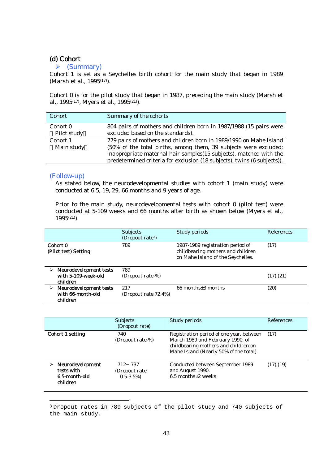### (d) Cohort

### $\blacktriangleright$  (Summary)

Cohort 1 is set as a Seychelles birth cohort for the main study that began in 1989 (Marsh et al., 1995<sup>(17)</sup>).

Cohort 0 is for the pilot study that began in 1987, preceding the main study (Marsh et al., 1995<sup>(17)</sup>, Myers et al., 1995<sup>(21)</sup>).

| <b>Cohort</b> | Summary of the cohorts                                                   |
|---------------|--------------------------------------------------------------------------|
| Cohort 0      | 804 pairs of mothers and children born in 1987/1988 (15 pairs were       |
| Pilot study   | excluded based on the standards).                                        |
| Cohort 1      | 779 pairs of mothers and children born in 1989/1990 on Mahe Island       |
| Main study    | (50% of the total births, among them, 39 subjects were excluded;         |
|               | inappropriate maternal hair samples (15 subjects), matched with the      |
|               | predetermined criteria for exclusion (18 subjects), twins (6 subjects)). |

#### (Follow-up)

As stated below, the neurodevelopmental studies with cohort 1 (main study) were conducted at 6.5, 19, 29, 66 months and 9 years of age.

Prior to the main study, neurodevelopmental tests with cohort 0 (pilot test) were conducted at 5-109 weeks and 66 months after birth as shown below (Myers et al., 1995(21)).

|                                                           | <b>Subjects</b><br>(Dropout rate <sup>3</sup> ) | Study periods                                                                                              | References |
|-----------------------------------------------------------|-------------------------------------------------|------------------------------------------------------------------------------------------------------------|------------|
| Cohort 0<br>(Pilot test) Setting                          | 789                                             | 1987-1989 registration period of<br>childbearing mothers and children<br>on Mahe Island of the Seychelles. | (17)       |
| Neurodevelopment tests<br>with 5-109-week-old<br>children | 789<br>(Dropout rate-%)                         |                                                                                                            | (17), (21) |
| Neurodevelopment tests<br>with 66-month-old<br>children   | 2.17<br>(Dropout rate 72.4%)                    | $66$ months $\pm 3$ months                                                                                 | (20)       |

|                                                             | <b>Subjects</b><br>(Dropout rate)           | Study periods                                                                                                                                                  | References      |
|-------------------------------------------------------------|---------------------------------------------|----------------------------------------------------------------------------------------------------------------------------------------------------------------|-----------------|
| Cohort 1 setting                                            | 740<br>(Dropout rate-%)                     | Registration period of one year, between<br>March 1989 and February 1990, of<br>childbearing mothers and children on<br>Mahe Island (Nearly 50% of the total). | (17)            |
| Neurodevelopment<br>tests with<br>6.5-month-old<br>children | 712 737<br>(Dropout rate)<br>$0.5 - 3.5\%)$ | Conducted between September 1989<br>and August 1990.<br>$6.5$ months $\pm 2$ weeks                                                                             | $(17)$ , $(19)$ |

 3 Dropout rates in 789 subjects of the pilot study and 740 subjects of the main study.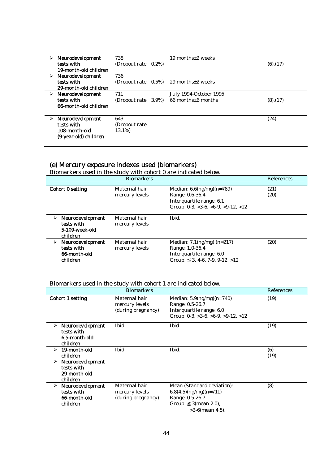| ➤ | Neurodevelopment<br>tests with<br>19-month-old children                  | 738<br>(Dropout rate)           | $0.2\%$ | 19 months $\pm 2$ weeks                              | $(6)$ , $(17)$ |
|---|--------------------------------------------------------------------------|---------------------------------|---------|------------------------------------------------------|----------------|
|   | $\triangleright$ Neurodevelopment<br>tests with<br>29-month-old children | 736<br>(Dropout rate)           |         | $(0.5\%)$ 29 months $\pm 2$ weeks                    |                |
|   | $\triangleright$ Neurodevelopment<br>tests with<br>66-month-old children | 711<br>(Dropout rate)           | 3.9%)   | July 1994-October 1995<br>$66$ months $\pm 6$ months | (8), (17)      |
|   | Neurodevelopment<br>tests with<br>108-month-old<br>(9-year-old) children | 643<br>(Dropout rate)<br>13.1%) |         |                                                      | (24)           |

## (e) Mercury exposure indexes used (biomarkers)

|  |  | Biomarkers used in the study with cohort 0 are indicated below. |  |
|--|--|-----------------------------------------------------------------|--|
|  |  |                                                                 |  |

|                                                                   | <b>Biomarkers</b>               |                                                                                                                                                        | References   |
|-------------------------------------------------------------------|---------------------------------|--------------------------------------------------------------------------------------------------------------------------------------------------------|--------------|
| Cohort 0 setting                                                  | Maternal hair<br>mercury levels | Median: $6.6 \frac{\text{mg}}{\text{mg}}$ $(n=789)$<br>Range: 0.6-36.4<br>Interquartile range: 6.1<br>Group: $0-3$ , $>3-6$ , $>6-9$ , $>9-12$ , $>12$ | (21)<br>(20) |
| Neurodevelopment<br>⋗<br>tests with<br>5-109-week-old<br>children | Maternal hair<br>mercury levels | Ibid.                                                                                                                                                  |              |
| Neurodevelopment<br>⋗<br>tests with<br>66-month-old<br>children   | Maternal hair<br>mercury levels | Median: $7.1 \,(\text{ng/mg}) \,(n=217)$<br>Range: 1.0-36.4<br>Interquartile range: 6.0<br>$3, 4-6, 7-9, 9-12, >12$<br>Group:                          | (20)         |

### Biomarkers used in the study with cohort 1 are indicated below.

|                                                                              |                  | <b>Biomarkers</b>                                     |                                                                                                                                | References  |
|------------------------------------------------------------------------------|------------------|-------------------------------------------------------|--------------------------------------------------------------------------------------------------------------------------------|-------------|
| Cohort 1 setting                                                             |                  | Maternal hair<br>mercury levels<br>(during pregnancy) | Median: $5.9(ng/mg)(n=740)$<br>Range: 0.5-26.7<br>Interquartile range: 6.0<br>Group: $0-3$ , $>3-6$ , $>6-9$ , $>9-12$ , $>12$ | (19)        |
| ➤<br>tests with<br>6.5-month-old<br>children                                 | Neurodevelopment | Ibid.                                                 | Ibid.                                                                                                                          | (19)        |
| 19-month-old<br>➤<br>children<br>➤<br>tests with<br>29-month-old<br>children | Neurodevelopment | Ibid.                                                 | Ibid.                                                                                                                          | (6)<br>(19) |
| ➤<br>tests with<br>66-month-old<br>children                                  | Neurodevelopment | Maternal hair<br>mercury levels<br>(during pregnancy) | Mean (Standard deviation):<br>$6.8(4.5)(ng/mg)(n=711)$<br>Range: 0.5-26.7<br>$3$ (mean 2.0),<br>Group:<br>$>3-6$ (mean 4.5),   | (8)         |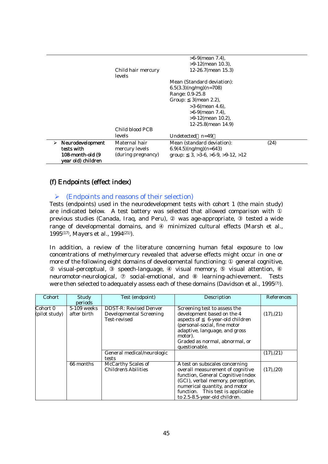|   |                                        | Child hair mercury | $>6-9$ (mean 7.4).<br>$>9-12$ (mean 10.3).<br>12-26.7(mean 15.3) |      |
|---|----------------------------------------|--------------------|------------------------------------------------------------------|------|
|   |                                        | levels             | Mean (Standard deviation):                                       |      |
|   |                                        |                    | $6.5(3.3)(ng/mg)(n=708)$                                         |      |
|   |                                        |                    | Range: 0.9-25.8                                                  |      |
|   |                                        |                    | $3$ (mean 2.2),<br>Group:                                        |      |
|   |                                        |                    | $>3-6$ (mean 4.6).                                               |      |
|   |                                        |                    | $>6-9$ (mean 7.4).                                               |      |
|   |                                        |                    | $>9-12$ (mean 10.2),                                             |      |
|   |                                        | Child blood PCB    | $12-25.8$ (mean $14.9$ )                                         |      |
|   |                                        | levels             | Undetected $n=49$                                                |      |
| ⋗ | Neurodevelopment                       | Maternal hair      | Mean (standard deviation):                                       | (24) |
|   | tests with                             | mercury levels     | $6.9(4.5)(ng/mg)(n=643)$                                         |      |
|   | 108-month-old (9<br>year old) children | (during pregnancy) | group: $3, >3-6, >6-9, >9-12, >12$                               |      |

### (f) Endpoints (effect index)

### $\triangleright$  (Endpoints and reasons of their selection)

Tests (endpoints) used in the neurodevelopment tests with cohort 1 (the main study) are indicated below. A test battery was selected that allowed comparison with previous studies (Canada, Iraq, and Peru), was age-appropriate, tested a wide range of developmental domains, and minimized cultural effects (Marsh et al., 1995(17), Mayers et al., 1994(21)).

In addition, a review of the literature concerning human fetal exposure to low concentrations of methylmercury revealed that adverse effects might occur in one or more of the following eight domains of developmental functioning: general cognitive,

 visual-perceptual, speech-language, visual memory, visual attention, neuromotor-neurological, social-emotional, and learning-achievement. Tests were then selected to adequately assess each of these domains (Davidson et al., 1995<sup>(7)</sup>).

| Cohort                    | Study<br>periods           | Test (endpoint)                                                                 | Description                                                                                                                                                                                                                                         | References |
|---------------------------|----------------------------|---------------------------------------------------------------------------------|-----------------------------------------------------------------------------------------------------------------------------------------------------------------------------------------------------------------------------------------------------|------------|
| Cohort 0<br>(pilot study) | 5-109 weeks<br>after birth | <b>DDST-R: Revised Denver</b><br><b>Developmental Screening</b><br>Test-revised | Screening test to assess the<br>development based on the 4<br>aspects of 6-year-old children<br>(personal-social, fine motor<br>adaptive, language, and gross<br>motor).<br>Graded as normal, abnormal, or<br>questionable.                         | (17), (21) |
|                           |                            | General medical/neurologic<br>tests                                             |                                                                                                                                                                                                                                                     | (17), (21) |
|                           | 66 months                  | McCarthy Scales of<br><b>Children's Abilities</b>                               | A test on subscales concerning<br>overall measurement of cognitive<br>function, General Cognitive Index<br>(GCI), verbal memory, perception,<br>numerical quantity, and motor<br>function. This test is applicable<br>to 2.5-8.5-year-old children. | (17), (20) |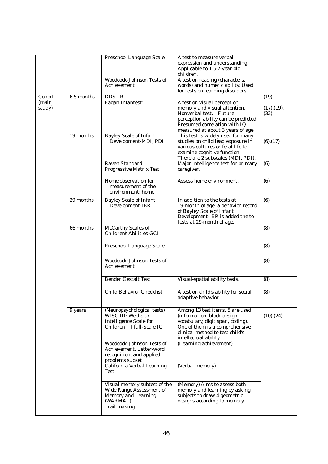|                 |            | Preschool Language Scale                                                                                                  | A test to measure verbal<br>expression and understanding.<br>Applicable to 1.5-7-year-old                                                                                                          |                     |
|-----------------|------------|---------------------------------------------------------------------------------------------------------------------------|----------------------------------------------------------------------------------------------------------------------------------------------------------------------------------------------------|---------------------|
|                 |            | Woodcock-Johnson Tests of<br><b>Achievement</b>                                                                           | children.<br>A test on reading (characters,<br>words) and numeric ability. Used                                                                                                                    |                     |
| Cohort 1        | 6.5 months | <b>DDST-R</b>                                                                                                             | for tests on learning disorders.                                                                                                                                                                   | (19)                |
| (main<br>study) |            | Fagan Infantest:                                                                                                          | A test on visual perception<br>memory and visual attention.<br>Nonverbal test. Future<br>perception ability can be predicted.<br>Presumed correlation with IQ<br>measured at about 3 years of age. | (17), (19),<br>(32) |
|                 | 19 months  | <b>Bayley Scale of Infant</b><br>Development-MDI, PDI                                                                     | This test is widely used for many<br>studies on child lead exposure in<br>various cultures or fetal life to<br>examine cognitive function.<br>There are 2 subscales (MDI, PDI).                    | $(6)$ , $(17)$      |
|                 |            | Raven Standard<br><b>Progressive Matrix Test</b>                                                                          | Major intelligence test for primary<br>caregiver.                                                                                                                                                  | (6)                 |
|                 |            | Home observation for<br>measurement of the<br>environment: home                                                           | Assess home environment.                                                                                                                                                                           | (6)                 |
|                 | 29 months  | <b>Bayley Scale of Infant</b><br>Development-IBR                                                                          | In addition to the tests at<br>19-month of age, a behavior record<br>of Bayley Scale of Infant<br>Development-IBR is added the to<br>tests at 29-month of age.                                     | (6)                 |
|                 | 66 months  | McCarthy Scales of<br>Children's Abilities-GCI                                                                            |                                                                                                                                                                                                    | (8)                 |
|                 |            | Preschool Language Scale                                                                                                  |                                                                                                                                                                                                    | (8)                 |
|                 |            | Woodcock-Johnson Tests of<br>Achievement                                                                                  |                                                                                                                                                                                                    | (8)                 |
|                 |            | <b>Bender Gestalt Test</b>                                                                                                | Visual-spatial ability tests.                                                                                                                                                                      | (8)                 |
|                 |            | <b>Child Behavior Checklist</b>                                                                                           | A test on child's ability for social<br>adaptive behavior.                                                                                                                                         | $\overline{(8)}$    |
|                 | 9 years    | (Neuropsychological tests)<br>WISC III: Wechslar<br><b>Intelligence Scale for</b><br>Children III full-Scale IQ           | Among 13 test items, 5 are used<br>(information, block design,<br>vocabulary, digit span, coding).<br>One of them is a comprehensive<br>clinical method to test child's<br>intellectual ability.   | (10), (24)          |
|                 |            | Woodcock-Johnson Tests of<br>Achievement, Letter-word<br>recognition, and applied<br>problems subset                      | (Learning-achievement)                                                                                                                                                                             |                     |
|                 |            | California Verbal Learning<br>Test                                                                                        | (Verbal memory)                                                                                                                                                                                    |                     |
|                 |            | Visual memory subtest of the<br><b>Wide Range Assessment of</b><br><b>Memory and Learning</b><br>(WARMAL)<br>Trail making | (Memory) Aims to assess both<br>memory and learning by asking<br>subjects to draw 4 geometric<br>designs according to memory.                                                                      |                     |
|                 |            |                                                                                                                           |                                                                                                                                                                                                    |                     |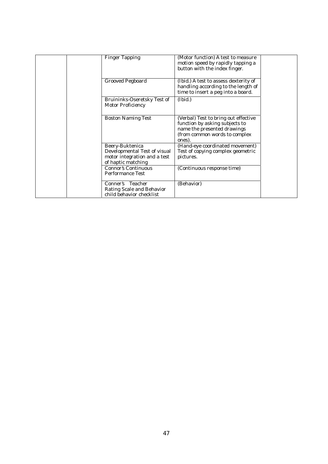| <b>Finger Tapping</b>                                                                                 | (Motor function) A test to measure<br>motion speed by rapidly tapping a<br>button with the index finger.                                         |  |
|-------------------------------------------------------------------------------------------------------|--------------------------------------------------------------------------------------------------------------------------------------------------|--|
| <b>Grooved Pegboard</b>                                                                               | (Ibid.) A test to assess dexterity of<br>handling according to the length of<br>time to insert a peg into a board.                               |  |
| Bruininks-Oseretsky Test of<br><b>Motor Proficiency</b>                                               | (Ibid.)                                                                                                                                          |  |
| <b>Boston Naming Test</b>                                                                             | (Verbal) Test to bring out effective<br>function by asking subjects to<br>name the presented drawings<br>(from common words to complex<br>ones). |  |
| Beery-Buktenica<br>Developmental Test of visual<br>motor integration and a test<br>of haptic matching | (Hand-eye coordinated movement)<br>Test of copying complex geometric<br>pictures.                                                                |  |
| <b>Connor's Continuous</b><br><b>Performance Test</b>                                                 | (Continuous response time)                                                                                                                       |  |
| Conner's Teacher<br>Rating Scale and Behavior<br>child behavior checklist                             | (Behavior)                                                                                                                                       |  |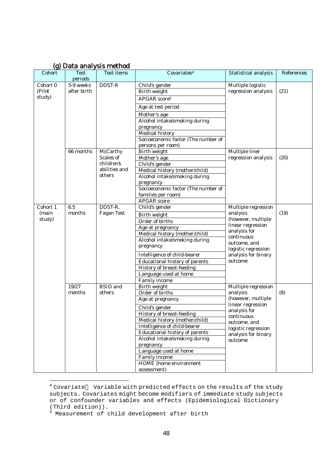| Cohort   | Test        | igi Data ahalysis ilictiivu<br><b>Test items</b> | Covariates <sup>4</sup>               | <b>Statistical analysis</b>         | References |
|----------|-------------|--------------------------------------------------|---------------------------------------|-------------------------------------|------------|
|          | periods     |                                                  |                                       |                                     |            |
| Cohort 0 | 5-9 weeks   | DDST-R                                           | Child's gender                        | Multiple logistic                   |            |
| (Pilot   | after birth |                                                  | Birth weight                          | regression analysis                 | (21)       |
| study)   |             |                                                  | APGAR score <sup>5</sup>              |                                     |            |
|          |             |                                                  | Age at test period                    |                                     |            |
|          |             |                                                  | Mother's age                          |                                     |            |
|          |             |                                                  | Alcohol intake/smoking during         |                                     |            |
|          |             |                                                  | pregnancy                             |                                     |            |
|          |             |                                                  | Medical history                       |                                     |            |
|          |             |                                                  | Socioeconomic factor (The number of   |                                     |            |
|          |             |                                                  | persons per room)                     |                                     |            |
|          | 66 months   | McCarthy                                         | Birth weight                          | Multiple liner                      |            |
|          |             | Scales of                                        | Mother's age                          | regression analysis                 | (20)       |
|          |             | children's                                       | Child's gender                        |                                     |            |
|          |             | abilities and                                    | Medical history (mother/child)        |                                     |            |
|          |             | others                                           | Alcohol intake/smoking during         |                                     |            |
|          |             |                                                  | pregnancy                             |                                     |            |
|          |             |                                                  | Socioeconomic factor (The number of   |                                     |            |
|          |             |                                                  | families per room)                    |                                     |            |
|          |             |                                                  | <b>APGAR</b> score                    |                                     |            |
| Cohort 1 | 6.5         | DDST-R,                                          | Child's gender                        | Multiple regression                 |            |
| (main    | months      | Fagan Test                                       | <b>Birth weight</b>                   | analysis                            | (19)       |
| study)   |             |                                                  | Order of births                       | (however, multiple                  |            |
|          |             |                                                  | Age at pregnancy                      | linear regression                   |            |
|          |             |                                                  | Medical history (mother/child)        | analysis for                        |            |
|          |             |                                                  | Alcohol intake/smoking during         | continuous                          |            |
|          |             |                                                  | pregnancy                             | outcome, and<br>logistic regression |            |
|          |             |                                                  | Intelligence of child-bearer          | analysis for binary                 |            |
|          |             |                                                  | <b>Educational history of parents</b> | outcome                             |            |
|          |             |                                                  | History of breast-feeding             |                                     |            |
|          |             |                                                  | Language used at home                 |                                     |            |
|          |             |                                                  | Family income                         |                                     |            |
|          | 19/27       | <b>BSID</b> and                                  | Birth weight                          | Multiple regression                 |            |
|          | months      | others                                           | Order of births                       | analysis                            | (6)        |
|          |             |                                                  | Age at pregnancy                      | (however, multiple                  |            |
|          |             |                                                  | Child's gender                        | linear regression<br>analysis for   |            |
|          |             |                                                  | History of breast-feeding             | continuous                          |            |
|          |             |                                                  | Medical history (mother/child)        | outcome, and                        |            |
|          |             |                                                  | Intelligence of child-bearer          | logistic regression                 |            |
|          |             |                                                  | Educational history of parents        | analysis for binary                 |            |
|          |             |                                                  | Alcohol intake/smoking during         | outcome                             |            |
|          |             |                                                  | pregnancy                             |                                     |            |
|          |             |                                                  | Language used at home                 |                                     |            |
|          |             |                                                  | Family income                         |                                     |            |
|          |             |                                                  | HOME (home environment                |                                     |            |
|          |             |                                                  | assessment)                           |                                     |            |

### (g) Data analysis method

 $\overline{a}$ 

 $4$  Covariate Variable with predicted effects on the results of the study subjects. Covariates might become modifiers of immediate study subjects or of confounder variables and effects (Epidemiological Dictionary

<sup>(</sup>Third edition)). 5 Measurement of child development after birth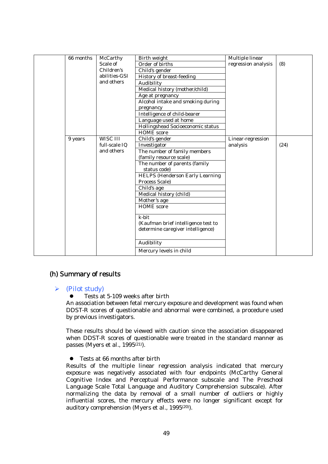| 66 months | McCarthy      | Birth weight                                                             | Multiple linear     |      |
|-----------|---------------|--------------------------------------------------------------------------|---------------------|------|
|           | Scale of      | Order of births                                                          | regression analysis | (8)  |
|           | Children's    | Child's gender                                                           |                     |      |
|           | abilities-GSI | History of breast-feeding                                                |                     |      |
|           | and others    | Audibility                                                               |                     |      |
|           |               | Medical history (mother/child)                                           |                     |      |
|           |               | Age at pregnancy                                                         |                     |      |
|           |               | Alcohol intake and smoking during                                        |                     |      |
|           |               | pregnancy                                                                |                     |      |
|           |               | Intelligence of child-bearer                                             |                     |      |
|           |               | Language used at home                                                    |                     |      |
|           |               | Hollingshead Socioeconomic status                                        |                     |      |
|           |               | <b>HOME</b> score                                                        |                     |      |
| 9 years   | WISC III      | Child's gender                                                           | Linear-regression   |      |
|           | full-scale IQ | Investigator                                                             | analysis            | (24) |
|           | and others    | The number of family members                                             |                     |      |
|           |               | (family resource scale)                                                  |                     |      |
|           |               | The number of parents (family                                            |                     |      |
|           |               | status code)                                                             |                     |      |
|           |               | <b>HELPS (Henderson Early Learning</b>                                   |                     |      |
|           |               | Process Scale)                                                           |                     |      |
|           |               | Child's age                                                              |                     |      |
|           |               | Medical history (child)                                                  |                     |      |
|           |               | Mother's age                                                             |                     |      |
|           |               | <b>HOME</b> score                                                        |                     |      |
|           |               | k-bit                                                                    |                     |      |
|           |               |                                                                          |                     |      |
|           |               | (Kaufman brief intelligence test to<br>determine caregiver intelligence) |                     |      |
|           |               |                                                                          |                     |      |
|           |               |                                                                          |                     |      |
|           |               | Audibility                                                               |                     |      |
|           |               | Mercury levels in child                                                  |                     |      |
|           |               |                                                                          |                     |      |

### (h) Summary of results

### $\triangleright$  (Pilot study)

### $\bullet$  Tests at 5-109 weeks after birth

An association between fetal mercury exposure and development was found when DDST-R scores of questionable and abnormal were combined, a procedure used by previous investigators.

These results should be viewed with caution since the association disappeared when DDST-R scores of questionable were treated in the standard manner as passes (Myers et al., 1995(21)).

### $\bullet$  Tests at 66 months after birth

Results of the multiple linear regression analysis indicated that mercury exposure was negatively associated with four endpoints (McCarthy General Cognitive Index and Perceptual Performance subscale and The Preschool Language Scale Total Language and Auditory Comprehension subscale). After normalizing the data by removal of a small number of outliers or highly influential scores, the mercury effects were no longer significant except for auditory comprehension (Myers et al., 1995(20)).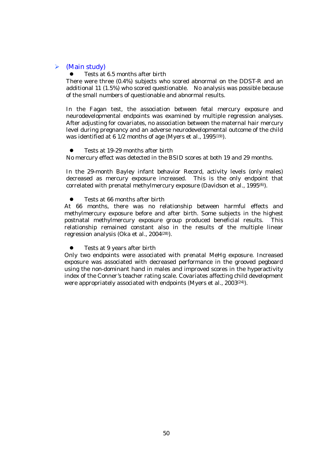### $\triangleright$  (Main study)

Tests at 6.5 months after birth

There were three (0.4%) subjects who scored abnormal on the DDST-R and an additional 11 (1.5%) who scored questionable. No analysis was possible because of the small numbers of questionable and abnormal results.

In the Fagan test, the association between fetal mercury exposure and neurodevelopmental endpoints was examined by multiple regression analyses. After adjusting for covariates, no association between the maternal hair mercury level during pregnancy and an adverse neurodevelopmental outcome of the child was identified at 6 1/2 months of age (Myers et al., 1995<sup>(19)</sup>).

Tests at 19-29 months after birth

No mercury effect was detected in the BSID scores at both 19 and 29 months.

In the 29-month Bayley infant behavior Record, activity levels (only males) decreased as mercury exposure increased. This is the only endpoint that correlated with prenatal methylmercury exposure (Davidson et al., 1995<sup>(6)</sup>).

Tests at 66 months after birth

At 66 months, there was no relationship between harmful effects and methylmercury exposure before and after birth. Some subjects in the highest postnatal methylmercury exposure group produced beneficial results. This relationship remained constant also in the results of the multiple linear regression analysis (Oka et al., 2004(28)).

Tests at 9 years after birth

Only two endpoints were associated with prenatal MeHg exposure. Increased exposure was associated with decreased performance in the grooved pegboard using the non-dominant hand in males and improved scores in the hyperactivity index of the Conner's teacher rating scale. Covariates affecting child development were appropriately associated with endpoints (Myers et al., 2003(24)).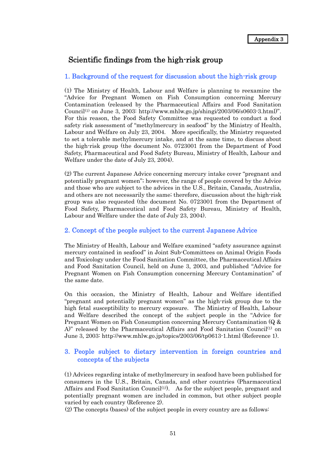### Scientific findings from the high-risk group

### 1. Background of the request for discussion about the high-risk group

(1) The Ministry of Health, Labour and Welfare is planning to reexamine the "Advice for Pregnant Women on Fish Consumption concerning Mercury Contamination (released by the Pharmaceutical Affairs and Food Sanitation Council(1) on June 3, 2003: http://www.mhlw.go.jp/shingi/2003/06/s0603-3.html)". For this reason, the Food Safety Committee was requested to conduct a food safety risk assessment of "methylmercury in seafood" by the Ministry of Health, Labour and Welfare on July 23, 2004. More specifically, the Ministry requested to set a tolerable methylmercury intake, and at the same time, to discuss about the high-risk group (the document No. 0723001 from the Department of Food Safety, Pharmaceutical and Food Safety Bureau, Ministry of Health, Labour and Welfare under the date of July 23, 2004).

(2) The current Japanese Advice concerning mercury intake cover "pregnant and potentially pregnant women"; however, the range of people covered by the Advice and those who are subject to the advices in the U.S., Britain, Canada, Australia, and others are not necessarily the same; therefore, discussion about the high-risk group was also requested (the document No. 0723001 from the Department of Food Safety, Pharmaceutical and Food Safety Bureau, Ministry of Health, Labour and Welfare under the date of July 23, 2004).

### 2. Concept of the people subject to the current Japanese Advice

The Ministry of Health, Labour and Welfare examined "safety assurance against mercury contained in seafood" in Joint Sub-Committees on Animal Origin Foods and Toxicology under the Food Sanitation Committee, the Pharmaceutical Affairs and Food Sanitation Council, held on June 3, 2003, and published "Advice for Pregnant Women on Fish Consumption concerning Mercury Contamination" of the same date.

On this occasion, the Ministry of Health, Labour and Welfare identified "pregnant and potentially pregnant women" as the high-risk group due to the high fetal susceptibility to mercury exposure. The Ministry of Health, Labour and Welfare described the concept of the subject people in the "Advice for Pregnant Women on Fish Consumption concerning Mercury Contamination (Q & A)" released by the Pharmaceutical Affairs and Food Sanitation Council<sup>(1)</sup> on June 3, 2003: http://www.mhlw.go.jp/topics/2003/06/tp0613-1.html (Reference 1).

### 3. People subject to dietary intervention in foreign countries and concepts of the subjects

(1) Advices regarding intake of methylmercury in seafood have been published for consumers in the U.S., Britain, Canada, and other countries (Pharmaceutical Affairs and Food Sanitation Council<sup>(1)</sup>. As for the subject people, pregnant and potentially pregnant women are included in common, but other subject people varied by each country (Reference 2).

(2) The concepts (bases) of the subject people in every country are as follows: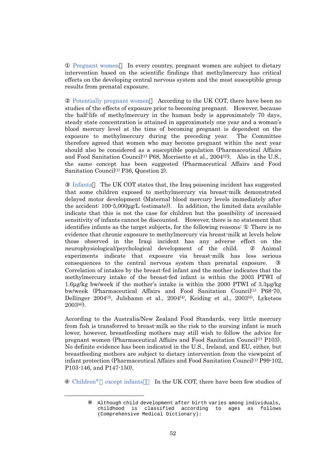Pregnant women In every country, pregnant women are subject to dietary intervention based on the scientific findings that methylmercury has critical effects on the developing central nervous system and the most susceptible group results from prenatal exposure.

Potentially pregnant women According to the UK COT, there have been no studies of the effects of exposure prior to becoming pregnant. However, because the half-life of methylmercury in the human body is approximately 70 days, steady state concentration is attained in approximately one year and a woman's blood mercury level at the time of becoming pregnant is dependent on the exposure to methylmercury during the preceding year. The Committee therefore agreed that women who may become pregnant within the next year should also be considered as a susceptible population (Pharmaceutical Affairs and Food Sanitation Council<sup>(1)</sup> P68, Morrisette et al.,  $2004^{(2)}$ . Also in the U.S., the same concept has been suggested (Pharmaceutical Affairs and Food Sanitation Council<sup>(1)</sup> P36, Question 2).

Infants The UK COT states that, the Iraq poisoning incident has suggested that some children exposed to methylmercury via breast-milk demonstrated delayed motor development (Maternal blood mercury levels immediately after the accident: 100-5,000µg/L (estimate)). In addition, the limited data available indicate that this is not the case for children but the possibility of increased sensitivity of infants cannot be discounted. However, there is no statement that identifies infants as the target subjects, for the following reasons: There is no evidence that chronic exposure to methylmercury via breast-milk at levels below those observed in the Iraqi incident has any adverse effect on the neurophysiological/psychological development of the child. Animal experiments indicate that exposure via breast-milk has less serious consequences to the central nervous system than prenatal exposure. Correlation of intakes by the breast-fed infant and the mother indicates that the methylmercury intake of the breast-fed infant is within the 2003 PTWI of 1.6µg/kg bw/week if the mother's intake is within the 2000 PTWI of 3.3µg/kg bw/week (Pharmaceutical Affairs and Food Sanitation Council<sup>(1)</sup> P68-70, Dellinger  $2004^{(3)}$ , Julshamn et al.,  $2004^{(4)}$ , Keiding et al.,  $2003^{(5)}$ , Lyketsos  $2003^{(6)}$ .

According to the Australia/New Zealand Food Standards, very little mercury from fish is transferred to breast-milk so the risk to the nursing infant is much lower, however, breastfeeding mothers may still wish to follow the advice for pregnant women (Pharmaceutical Affairs and Food Sanitation Council<sup>(1)</sup> P103). No definite evidence has been indicated in the U.S., Ireland, and EU, either, but breastfeeding mothers are subject to dietary intervention from the viewpoint of infant protection (Pharmaceutical Affairs and Food Sanitation Council<sup>(1)</sup> P99-102, P103-146, and P147-150).

Children except infants In the UK COT, there have been few studies of

l

Although child development after birth varies among individuals, childhood is classified according to ages as follows (Comprehensive Medical Dictionary):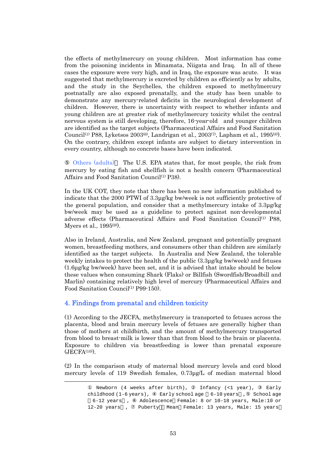the effects of methylmercury on young children. Most information has come from the poisoning incidents in Minamata, Niigata and Iraq. In all of these cases the exposure were very high, and in Iraq, the exposure was acute. It was suggested that methylmercury is excreted by children as efficiently as by adults, and the study in the Seychelles, the children exposed to methylmercury postnatally are also exposed prenatally, and the study has been unable to demonstrate any mercury-related deficits in the neurological development of children. However, there is uncertainty with respect to whether infants and young children are at greater risk of methylmercury toxicity whilst the central nervous system is still developing, therefore, 16-year-old and younger children are identified as the target subjects (Pharmaceutical Affairs and Food Sanitation Council<sup>(1)</sup> P88, Lyketsos 2003<sup>(6)</sup>, Landrigan et al., 2003<sup>(7)</sup>, Lapham et al., 1995<sup>(8)</sup>). On the contrary, children except infants are subject to dietary intervention in every country, although no concrete bases have been indicated.

 Others (adults) The U.S. EPA states that, for most people, the risk from mercury by eating fish and shellfish is not a health concern (Pharmaceutical Affairs and Food Sanitation Council<sup>(1)</sup> P38).

In the UK COT, they note that there has been no new information published to indicate that the 2000 PTWI of 3.3µg/kg bw/week is not sufficiently protective of the general population, and consider that a methylmercury intake of 3.3µg/kg bw/week may be used as a guideline to protect against non-developmental adverse effects (Pharmaceutical Affairs and Food Sanitation Council<sup>(1)</sup> P88, Myers et al., 1995(9)).

Also in Ireland, Australia, and New Zealand, pregnant and potentially pregnant women, breastfeeding mothers, and consumers other than children are similarly identified as the target subjects. In Australia and New Zealand, the tolerable weekly intakes to protect the health of the public (3.3µg/kg bw/week) and fetuses (1.6µg/kg bw/week) have been set, and it is advised that intake should be below these values when consuming Shark (Flaks) or Billfish (Swordfish/Broadbill and Marlin) containing relatively high level of mercury (Pharmaceutical Affairs and Food Sanitation Council<sup>(1)</sup> P99-150).

### 4. Findings from prenatal and children toxicity

 $\overline{a}$ 

(1) According to the JECFA, methylmercury is transported to fetuses across the placenta, blood and brain mercury levels of fetuses are generally higher than those of mothers at childbirth, and the amount of methylmercury transported from blood to breast-milk is lower than that from blood to the brain or placenta. Exposure to children via breastfeeding is lower than prenatal exposure  $(JECFA<sup>(10)</sup>)$ .

(2) In the comparison study of maternal blood mercury levels and cord blood mercury levels of 119 Swedish females, 0.73µg/L of median maternal blood

Newborn (4 weeks after birth), Infancy (<1 year), Early childhood (1-6 years), Early school age 6-10 years , School age 6-12 years , Adolescence Female: 8 or 10-18 years, Male:10 or 12-20 years , Puberty Mean Female: 13 years, Male: 15 years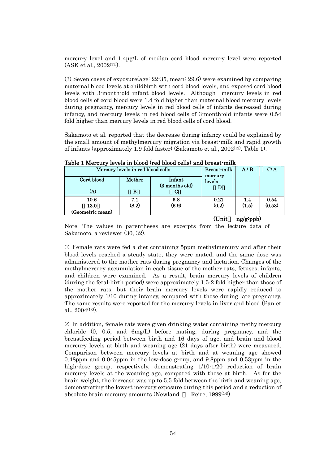mercury level and 1.4µg/L of median cord blood mercury level were reported  $(ASK et al., 2002<sup>(11)</sup>).$ 

(3) Seven cases of exposure(age: 22-35, mean: 29.6) were examined by comparing maternal blood levels at childbirth with cord blood levels, and exposed cord blood levels with 3-month-old infant blood levels. Although mercury levels in red blood cells of cord blood were 1.4 fold higher than maternal blood mercury levels during pregnancy, mercury levels in red blood cells of infants decreased during infancy, and mercury levels in red blood cells of 3-month-old infants were 0.54 fold higher than mercury levels in red blood cells of cord blood.

Sakamoto et al. reported that the decrease during infancy could be explained by the small amount of methylmercury migration via breast-milk and rapid growth of infants (approximately 1.9 fold faster) (Sakamoto et al., 2002(12), Table 1).

| Cord blood<br>(A)                | Mercury levels in red blood cells<br>Mother<br>в | Infant<br>(3 months old)<br>С | <b>Breast-milk</b><br>mercury<br>levels | A/B          | C/A            |
|----------------------------------|--------------------------------------------------|-------------------------------|-----------------------------------------|--------------|----------------|
| 10.6<br>13.0<br>(Geometric mean) | 7.1<br>(8.2)                                     | 5.8<br>(6.9)                  | 0.21<br>(0.2)                           | 1.4<br>(1.5) | 0.54<br>(0.53) |

Table 1 Mercury levels in blood (red blood cells) and breast-milk

 $(Unit \nng/g:ppb)$ 

Note: The values in parentheses are excerpts from the lecture data of Sakamoto, a reviewer (30, 32).

 Female rats were fed a diet containing 5ppm methylmercury and after their blood levels reached a steady state, they were mated, and the same dose was administered to the mother rats during pregnancy and lactation. Changes of the methylmercury accumulation in each tissue of the mother rats, fetuses, infants, and children were examined. As a result, brain mercury levels of children (during the fetal-birth period) were approximately 1.5-2 fold higher than those of the mother rats, but their brain mercury levels were rapidly reduced to approximately 1/10 during infancy, compared with those during late pregnancy. The same results were reported for the mercury levels in liver and blood (Pan et al.,  $2004^{(13)}$ .

 In addition, female rats were given drinking water containing methylmercury chloride (0, 0.5, and 6mg/L) before mating, during pregnancy, and the breastfeeding period between birth and 16 days of age, and brain and blood mercury levels at birth and weaning age (21 days after birth) were measured. Comparison between mercury levels at birth and at weaning age showed 0.48ppm and 0.045ppm in the low-dose group, and 9.8ppm and 0.53ppm in the high-dose group, respectively, demonstrating  $1/10-1/20$  reduction of brain mercury levels at the weaning age, compared with those at birth. As for the brain weight, the increase was up to 5.5 fold between the birth and weaning age, demonstrating the lowest mercury exposure during this period and a reduction of absolute brain mercury amounts (Newland Reire, 1999<sup>(14)</sup>).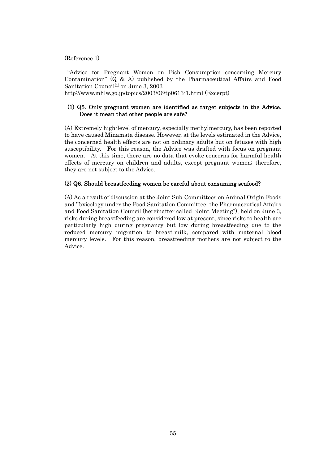### (Reference 1)

"Advice for Pregnant Women on Fish Consumption concerning Mercury Contamination" (Q & A) published by the Pharmaceutical Affairs and Food Sanitation Council<sup>(1)</sup> on June 3, 2003

http://www.mhlw.go.jp/topics/2003/06/tp0613-1.html (Excerpt)

### (1) Q5. Only pregnant women are identified as target subjects in the Advice. Does it mean that other people are safe?

(A) Extremely high-level of mercury, especially methylmercury, has been reported to have caused Minamata disease. However, at the levels estimated in the Advice, the concerned health effects are not on ordinary adults but on fetuses with high susceptibility. For this reason, the Advice was drafted with focus on pregnant women. At this time, there are no data that evoke concerns for harmful health effects of mercury on children and adults, except pregnant women; therefore, they are not subject to the Advice.

### (2) Q6. Should breastfeeding women be careful about consuming seafood?

(A) As a result of discussion at the Joint Sub-Committees on Animal Origin Foods and Toxicology under the Food Sanitation Committee, the Pharmaceutical Affairs and Food Sanitation Council (hereinafter called "Joint Meeting"), held on June 3, risks during breastfeeding are considered low at present, since risks to health are particularly high during pregnancy but low during breastfeeding due to the reduced mercury migration to breast-milk, compared with maternal blood mercury levels. For this reason, breastfeeding mothers are not subject to the Advice.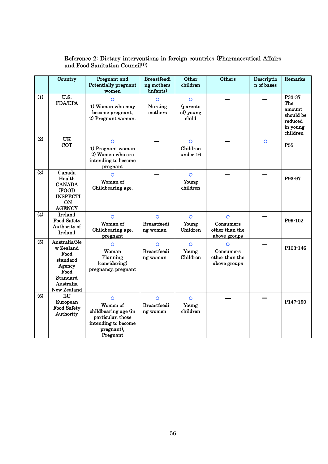#### Country **Pregnant** and Potentially pregnant women **Breastfeedi** ng mothers (infants) **Other** children Others Descriptio n of bases Remarks  $\overline{(1)}$  U.S.  $\begin{array}{c|c}\n\text{U.S.} & \text{O} \\
\text{FDA/EPA} & \text{1} \\
\text{1} & \text{Woman who may}\n\end{array}$ become pregnant, 2) Pregnant woman. ○ Nursing mothers ○ (parents of) young child P<sub>33</sub>-37 The amount should be reduced in young children  $(2)$  UK **COT** ○ 1) Pregnant woman 2) Women who are intending to become pregnant ○ Children under 16  $\overline{\phantom{a}}$   $\overline{\phantom{a}}$   $\overline{\phantom{a}}$   $\overline{\phantom{a}}$   $\overline{\phantom{a}}$   $\overline{\phantom{a}}$   $\overline{\phantom{a}}$   $\overline{\phantom{a}}$   $\overline{\phantom{a}}$   $\overline{\phantom{a}}$   $\overline{\phantom{a}}$   $\overline{\phantom{a}}$   $\overline{\phantom{a}}$   $\overline{\phantom{a}}$   $\overline{\phantom{a}}$   $\overline{\phantom{a}}$   $\overline{\phantom{a}}$   $\overline{\phantom{a}}$   $\overline{\$ P55  $\overline{(3)}$  Canada Health CANADA (FOOD INSPECTI ON **AGENCY** ○ Woman of Childbearing age. - ○ Young children - - P93-97 (4) Ireland Food Safety Authority of Ireland ○ Woman of Childbearing age, pregnant ○ Breastfeedi ng woman ○ Young Children ○ Consumers other than the above groups P99-102 (5) Australia/Ne w Zealand Food standard Agency Food Standard Australia New Zealand ○ Woman Planning (considering) pregnancy, pregnant ○ Breastfeedi ng woman ○ Young Children ○ Consumers other than the above groups P103-146  $\overline{6}$  EU European Food Safety Authority ○ Women of childbearing age (in particular, those intending to become pregnant), Pregnant ○ Breastfeedi ng women ○ Young children ― - P147-150

### Reference 2: Dietary interventions in foreign countries (Pharmaceutical Affairs and Food Sanitation Council<sup>(1)</sup>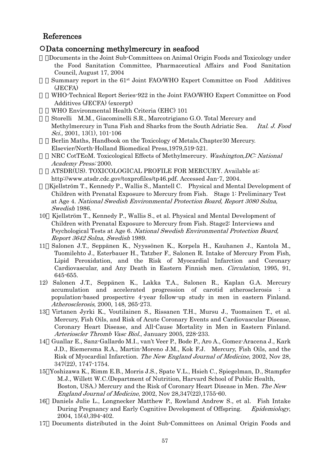## References

### ○Data concerning methylmercury in seafood

- 1)Documents in the Joint Sub-Committees on Animal Origin Foods and Toxicology under the Food Sanitation Committee, Pharmaceutical Affairs and Food Sanitation Council, August 17, 2004
- Summary report in the 61<sup>st</sup> Joint FAO/WHO Expert Committee on Food Additives (JECFA)
- 3)WHO-Technical Report Series-922 in the Joint FAO/WHO Expert Committee on Food Additives (JECFA) (excerpt)
- 4)WHO Environmental Health Criteria (EHC) 101
- 5)Storelli M.M., Giacominelli S.R., Marcotrigiano G.O. Total Mercury and

Methylmercury in Tuna Fish and Sharks from the South Adriatic Sea. Ital. J. Food Sci., 2001, 13(1), 101-106

Berlin Maths, Handbook on the Toxicology of Metals, Chapter 30 Mercury. Elsevier/North-Holland Biomedical Press,1979,519-521.

NRC CotTEoM. Toxicological Effects of Methylmercury. Washington, DC: National Academy Press; 2000.

8)ATSDR(US). TOXICOLOGICAL PROFILE FOR MERCURY. Available at: http://www.atsdr.cdc.gov/toxprofiles/tp46.pdf. Accessed Jan-7, 2004.

9)Kjellström T., Kennedy P., Wallis S., Mantell C. Physical and Mental Development of Children with Prenatal Exposure to Mercury from Fish. Stage 1: Preliminary Test at Age 4. National Swedish Environmental Protection Board, Report 3080 Solna, Swedish 1986.

- 10 Kjellström T., Kennedy P., Wallis S., et al. Physical and Mental Development of Children with Prenatal Exposure to Mercury from Fish. Stage2: Interviews and Psychological Tests at Age 6. National Swedish Environmental Protection Board, Report 3642 Solna, Swedish 1989.
- 11 Salonen J.T., Seppänen K., Nyyssönen K., Korpela H., Kauhanen J., Kantola M., Tuomilehto J., Esterbauer H., Tatzber F., Salonen R. Intake of Mercury From Fish, Lipid Peroxidation, and the Risk of Myocardial Infarction and Coronary Cardiovascular, and Any Death in Eastern Finnish men. Circulation, 1995, 91, 645-655.
- 12) Salonen J.T., Seppänen K., Lakka T.A., Salonen R., Kaplan G.A. Mercury accumulation and accelerated progression of carotid atherosclerosis : a population-based prospective 4-year follow-up study in men in eastern Finland. Atherosclerosis, 2000, 148, 265-273.
- 13 Virtanen Jyrki K., Voutilainen S., Rissanen T.H., Mursu J., Tuomainen T., et al. Mercury, Fish Oils, and Risk of Acute Coronary Events and Cardiovascular Disease, Coronary Heart Disease, and All-Cause Mortality in Men in Eastern Finland. Arterioscler Thromb Vasc Biol., January 2005, 228-233.
- 14 Guallar E., Sanz-Gallardo M.I., van't Veer P., Bode P., Aro A., Gomez-Aracena J., Kark J.D., Riemersma R.A., Martin-Moreno J.M., Kok F.J. Mercury, Fish Oils, and the Risk of Myocardial Infarction. The New England Journal of Medicine, 2002, Nov 28, 347(22), 1747-1754.
- 15 Yoshizawa K., Rimm E.B., Morris J.S., Spate V.L., Hsieh C., Spiegelman, D., Stampfer M.J., Willett W.C.(Department of Nutrition, Harvard School of Public Health, Boston, USA.) Mercury and the Risk of Coronary Heart Disease in Men. The New England Journal of Medicine, 2002, Nov 28,347(22),1755-60.
- 16 Daniels Julie L., Longnecker Matthew P., Rowland Andrew S., et al. Fish Intake During Pregnancy and Early Cognitive Development of Offspring. Epidemiology, 2004, 15(4),394-402.
- 17 Documents distributed in the Joint Sub-Committees on Animal Origin Foods and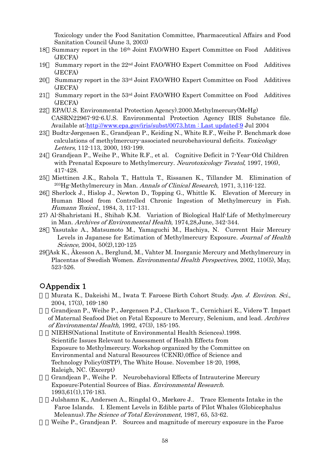Toxicology under the Food Sanitation Committee, Pharmaceutical Affairs and Food Sanitation Council (June 3, 2003)

- 18 Summary report in the 16th Joint FAO/WHO Expert Committee on Food Additives (JECFA)
- 19 Summary report in the  $22<sup>nd</sup>$  Joint FAO/WHO Expert Committee on Food Additives (JECFA)
- 20 Summary report in the 33rd Joint FAO/WHO Expert Committee on Food Additives (JECFA)
- 21 Summary report in the  $53<sup>rd</sup>$  Joint FAO/WHO Expert Committee on Food Additives (JECFA)
- 22 EPA(U.S. Environmental Protection Agency).2000.Methylmercury(MeHg) CASRN22967-92-6.U.S. Environmental Protection Agency IRIS Substance file. Available at:http://www.epa.gov/iris/subst/0073.htm : Last updated:9 Jul 2004
- 23 Budtz-Jørgensen E., Grandjean P., Keiding N., White R.F., Weihe P. Benchmark dose calculations of methylmercury-associated neurobehavioural deficits. Toxicology Letters, 112-113, 2000, 193-199.
- 24 Grandjean P., Weihe P., White R.F., et al. Cognitive Deficit in 7-Year-Old Children with Prenatal Exposure to Methylmercury. Neurotoxicology Teratol, 1997, 19(6), 417-428.
- 25 Miettinen J.K., Rahola T., Hattula T., Rissanen K., Tillander M. Elimination of 203Hg-Methylmercury in Man. Annals of Clinical Research, 1971, 3,116-122.
- 26 Sherlock J., Hislop J., Newton D., Topping G., Whittle K. Elevation of Mercury in Human Blood from Controlled Chronic Ingestion of Methylmercury in Fish. Humann Toxicol., 1984, 3, 117-131.
- 27) Al-Shahristani H., Shihab K.M. Variation of Biological Half-Life of Methylmercury in Man. Archives of Environmental Health, 1974,28,June, 342-344.
- 28 Yasutake A., Matsumoto M., Yamaguchi M., Hachiya, N. Current Hair Mercury Levels in Japanese for Estimation of Methylmercury Exposure. Journal of Health Science, 2004, 50(2),120-125
- 29 Ask K., Åkesson A., Berglund, M., Vahter M. Inorganic Mercury and Methylmercury in Placentas of Swedish Women. Environmental Health Perspectives, 2002, 110(5), May, 523-526.

### ○Appendix 1

Murata K., Dakeishi M., Iwata T. Faroese Birth Cohort Study. Jpn. J. Environ. Sci., 2004, 17(3), 169-180

2)Grandjean P., Weihe P., Jørgensen P.J., Clarkson T., Cernichiari E., Viderø T. Impact of Maternal Seafood Diet on Fetal Exposure to Mercury, Selenium, and lead. Archives of Environmental Health, 1992, 47(3), 185-195.

3)NIEHS(National Institute of Environmental Health Sciences).1998.

Scientific Issues Relevant to Assessment of Health Effects from

Exposure to Methylmercury. Workshop organized by the Committee on

Environmental and Natural Resources (CENR),0ffice of Science and

Technology Policy(0STP), The White House. November 18-20, 1998, Raleigh, NC. (Excerpt)

4)Grandjean P., Weihe P. Neurobehavioral Effects of Intrauterine Mercury Exposure:Potential Sources of Bias. Environmental Research.

1993,61(1),176-183.

5)Julshamn K., Andersen A., Ringdal O., Mørkøre J.. Trace Elements Intake in the Faroe Islands. I. Element Levels in Edible parts of Pilot Whales (Globicephalus Meleanus).The Science of Total Environment, 1987, 65, 53-62.

Weihe P., Grandjean P. Sources and magnitude of mercury exposure in the Faroe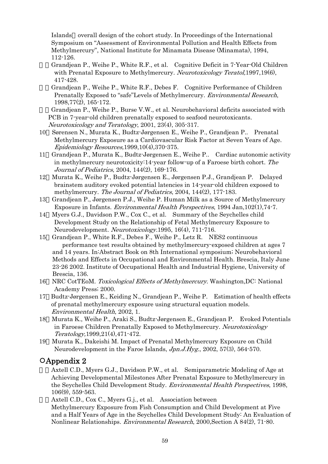Islands overall design of the cohort study. In Proceedings of the International Symposium on "Assessment of Environmental Pollution and Health Effects from Methylmercury", National Institute for Minamata Disease (Minamata), 1994, 112-126.

7)Grandjean P., Weihe P., White R.F., et al. Cognitive Deficit in 7-Year-Old Children with Prenatal Exposure to Methylmercury. Neurotoxicology Teratol, 1997, 1966). 417-428.

8)Grandjean P., Weihe P., White R.F., Debes F. Cognitive Performance of Children Prenatally Exposed to "safe"Levels of Methylmercury. Environmental Research, 1998,77(2), 165-172.

9)Grandjean P., Weihe P., Burse V.W., et al. Neurobehavioral deficits associated with PCB in 7-year-old children prenatally exposed to seafood neurotoxicants. Neurotoxicology and Teratology, 2001, 23(4), 305-317.

- 10 Sørensen N., Murata K., Budtz-Jørgensen E., Weihe P., Grandjean P.. Prenatal Methylmercury Exposure as a Cardiovascular Risk Factor at Seven Years of Age. Epidemiology Resources,1999,10(4),370-375.
- 11 Grandjean P., Murata K., Budtz-Jørgensen E., Weihe P.. Cardiac autonomic activity in methylmercury neurotoxicity:14-year follow-up of a Faroese birth cohort. The Journal of Pediatrics, 2004, 144(2), 169-176.
- 12 Murata K., Weihe P., Budtz-Jørgensen E., Jørgensen P.J., Grandjean P. Delayed brainstem auditory evoked potential latencies in 14-year-old children exposed to methylmercury. The Journal of Pediatrics, 2004, 144(2), 177-183.
- 13 Grandjean P., Jørgensen P.J., Weihe P. Human Milk as a Source of Methylmercury Exposure in Infants. Environmental Health Perspectives, 1994 Jan,102(1),74-7.
- 14 Myers G.J., Davidson P.W., Cox C., et al. Summary of the Seychelles child Development Study on the Relationship of Fetal Methylmercury Exposure to Neurodevelopment. Neurotoxicology.1995, 16(4), 711-716.
- 15 Grandjean P., White R.F., Debes F., Weihe P., Letz R. NES2 continuous performance test results obtained by methylmercury-exposed children at ages 7 and 14 years. In:Abstract Book on 8th International symposium; Neurobehavioral Methods and Effects in Occupational and Environmental Health. Brescia, Italy June 23-26 2002. Institute of Occupational Health and Industrial Hygiene, University of Brescia, 136.
- 16 NRC CotTEoM. Toxicological Effects of Methylmercury. Washington,DC: National Academy Press; 2000.
- 17 Budtz-Jørgensen E., Keiding N., Grandjean P., Weihe P. Estimation of health effects of prenatal methylmercury exposure using structural equation models. Environmental Health, 2002, 1.
- 18 Murata K., Weihe P., Araki S., Budtz-Jørgensen E., Grandjean P. Evoked Potentials in Faroese Children Prenatally Exposed to Methylmercury. Neurotoxicology Teratology,1999,21(4),471-472.
- 19 Murata K., Dakeishi M. Impact of Prenatal Methylmercury Exposure on Child Neurodevelopment in the Faroe Islands, Jpn.J.Hyg., 2002, 57(3), 564-570.

## ○Appendix 2

Axtell C.D., Myers G.J., Davidson P.W., et al. Semiparametric Modeling of Age at Achieving Developmental Milestones After Prenatal Exposure to Methylmercury in the Seychelles Child Development Study. Environmental Health Perspectives, 1998, 106(9), 559-563.

Axtell C.D., Cox C., Myers G.j., et al. Association between

Methylmercury Exposure from Fish Consumption and Child Development at Five and a Half Years of Age in the Seychelles Child Development Study: An Evaluation of Nonlinear Relationships. Environmental Research, 2000,Section A 84(2), 71-80.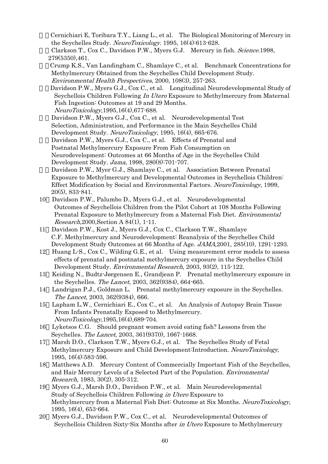3)Cernichiari E, Toribara T.Y., Liang L., et al. The Biological Monitoring of Mercury in the Seychelles Study. NeuroToxicology. 1995, 16(4):613-628.

Clarkson T., Cox C., Davidson P.W., Myers G.J. Mercury in fish. Science.1998, 279(5350),461.

5)Crump K.S., Van Landingham C., Shamlaye C., et al. Benchmark Concentrations for Methylmercury Obtained from the Seychelles Child Development Study.

Environmental Health Perspectives, 2000, 108(3), 257-263.

Davidson P.W., Myers G.J., Cox C., et al. Longitudinal Neurodevelopmental Study of Seychellois Children Following *In Utero* Exposure to Methylmercury from Maternal Fish Ingestion: Outcomes at 19 and 29 Months. NeuroToxicology,1995,16(4),677-688.

Davidson P.W., Myers G.J., Cox C., et al. Neurodevelopmental Test Selection, Administration, and Performance in the Main Seychelles Child Development Study. NeuroToxicology, 1995, 16(4), 665-676. Davidson P.W., Myers G.J., Cox C., et al. Effects of Prenatal and Postnatal Methylmercury Exposure From Fish Consumption on Neurodevelopment: Outcomes at 66 Months of Age in the Seychelles Child

Development Study. Jama, 1998, 280(8):701-707.

Davidson P.W., Myer G.J., Shamlaye C., et al. Association Between Prenatal Exposure to Methylmercury and Developmental Outcomes in Seychellois Children: Effect Modification by Social and Environmental Factors. NeuroToxicology, 1999, 20(5), 833-841.

- 10 Davidson P.W., Palumbo D., Myers G.J., et al. Neurodevelopmental Outcomes of Seychellois Children from the Pilot Cohort at 108 Months Following Prenatal Exposure to Methylmercury from a Maternal Fish Diet. Environmental Research,2000,Section A 84(1), 1-11.
- 11 Davidson P.W., Kost J., Myers G.J., Cox C., Clarkson T.W., Shamlaye C.F. Methylmercury and Neurodevelopment: Reanalysis of the Seychelles Child Development Study Outcomes at 66 Months of Age. JAMA,2001, 285(10), 1291-1293.
- 12 Huang L-S., Cox C., Wilding G.E., et al. Using measurement error models to assess effects of prenatal and postnatal methylmercury exposure in the Seychelles Child Development Study. Environmental Research, 2003, 93(2), 115-122.
- 13 Keiding N., Budtz-Jørgensen E., Grandjean P. Prenatal methylmercury exposure in the Seychelles. The Lancet, 2003, 362(9384), 664-665.
- 14 Landrigan P.J., Goldman L. Prenatal methylmercury exposure in the Seychelles. The Lancet, 2003, 362(9384), 666.
- 15 Lapham L.W., Cernichiari E., Cox C., et al. An Analysis of Autopsy Brain Tissue From Infants Prenatally Exposed to Methylmercury. NeuroToxicology,1995,16(4),689-704.
- 16 Lyketsos C.G. Should pregnant women avoid eating fish? Lessons from the Seychelles. The Lancet, 2003, 361(9370), 1667-1668.
- 17 Marsh D.O., Clarkson T.W., Myers G.J., et al. The Seychelles Study of Fetal Methylmercury Exposure and Child Development:Introduction. NeuroToxicology, 1995, 16(4):583-596.
- 18 Matthews A.D. Mercury Content of Commercially Important Fish of the Seychelles, and Hair Mercury Levels of a Selected Part of the Population. Environmental Research, 1983, 30(2), 305-312.
- 19 Myers G.J., Marsh D.O., Davidson P.W., et al. Main Neurodevelopmental Study of Seychellois Children Following in Utero Exposure to Methylmercury from a Maternal Fish Diet: Outcome at Six Months. NeuroToxicology, 1995, 16(4), 653-664.
- 20 Myers G.J., Davidson P.W., Cox C., et al. Neurodevelopmental Outcomes of Seychellois Children Sixty-Six Months after in Utero Exposure to Methylmercury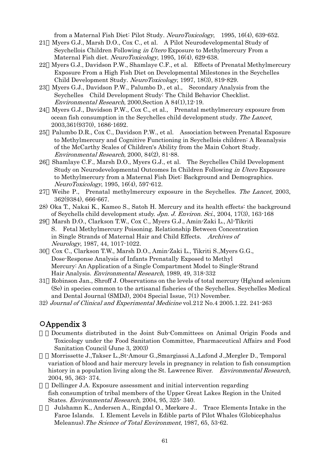from a Maternal Fish Diet: Pilot Study. NeuroToxicology, 1995, 16(4), 639-652.

- 21 Myers G.J., Marsh D.O., Cox C., et al. A Pilot Neurodevelopmental Study of Seychellois Children Following in Utero Exposure to Methylmercury From a Maternal Fish diet. NeuroToxicology, 1995, 16(4), 629-638.
- 22 Myers G.J., Davidson P.W., Shamlaye C.F., et al. Effects of Prenatal Methylmercury Exposure From a High Fish Diet on Developmental Milestones in the Seychelles Child Development Study. NeuroToxicology, 1997, 18(3), 819-829.
- 23 Myers G.J., Davidson P.W., Palumbo D., et al., Secondary Analysis from the Seychelles Child Development Study: The Child Behavior Checklist. Environmental Research, 2000,Section A 84(1),12-19.
- 24 Myers G.J., Davidson P.W., Cox C., et al., Prenatal methylmercury exposure from ocean fish consumption in the Seychelles child development study. The Lancet, 2003,361(9370), 1686-1692.
- 25 Palumbo D.R., Cox C., Davidson P.W., et al. Association between Prenatal Exposure to Methylmercury and Cognitive Functioning in Seychellois children: A Reanalysis of the McCarthy Scales of Children's Ability from the Main Cohort Study. Environmental Research, 2000, 84(2), 81-88.
- 26 Shamlaye C.F., Marsh D.O., Myers G.J., et al. The Seychelles Child Development Study on Neurodevelopmental Outcomes In Children Following in Utero Exposure to Methylmercury from a Maternal Fish Diet: Background and Demographics. NeuroToxicology, 1995, 16(4), 597-612.
- 27 Weihe P., Prenatal methylmercury exposure in the Seychelles. The Lancet, 2003, 362(9384), 666-667.
- 28) Oka T., Nakai K., Kameo S., Satoh H. Mercury and its health effects: the background of Seychells child development study. Jpn. J. Environ. Sci., 2004, 17(3), 163-168
- 29 Marsh D.O., Clarkson T.W., Cox C., Myers G.J., Amin-Zaki L., Al-Tikriti S. Fetal Methylmercury Poisoning. Relationship Between Concentration in Single Strands of Maternal Hair and Child Effects. Archives of Neurology, 1987, 44, 1017-1022.
- 30 Cox C., Clarkson T.W., Marsh D.O., Amin-Zaki L., Tikriti S.,Myers G.G., Dose-Response Analysis of Infants Prenatally Exposed to Methyl Mercury: An Application of a Single Compartment Model to Single-Strand Hair Analysis. Environmental Research, 1989, 49, 318-332
- 31 Robinson Jan., Shroff J. Observations on the levels of total mercury (Hg)and selenium (Se) in species common to the artisanal fisheries of the Seychelles. Seychelles Medical and Dental Journal (SMDJ), 2004 Special Issue, 7(1) November.
- 32) Journal of Clinical and Experimental Medicine vol.212 No.4 2005.1.22. 241-263

### ○Appendix 3

1)Documents distributed in the Joint Sub-Committees on Animal Origin Foods and Toxicology under the Food Sanitation Committee, Pharmaceutical Affairs and Food Sanitation Council (June 3, 2003)

2)Morrissette J.,Takser L.,St-Amour G.,Smargiassi A.,Lafond J.,Mergler D., Temporal variation of blood and hair mercury levels in pregnancy in relation to fish consumption history in a population living along the St. Lawrence River. Environmental Research, 2004, 95, 363- 374.

Dellinger J.A. Exposure assessment and initial intervention regarding fish consumption of tribal members of the Upper Great Lakes Region in the United States. Environmental Research, 2004, 95, 325- 340.

4) Julshamn K., Andersen A., Ringdal O., Mørkøre J.. Trace Elements Intake in the Faroe Islands. I. Element Levels in Edible parts of Pilot Whales (Globicephalus Meleanus).The Science of Total Environment, 1987, 65, 53-62.